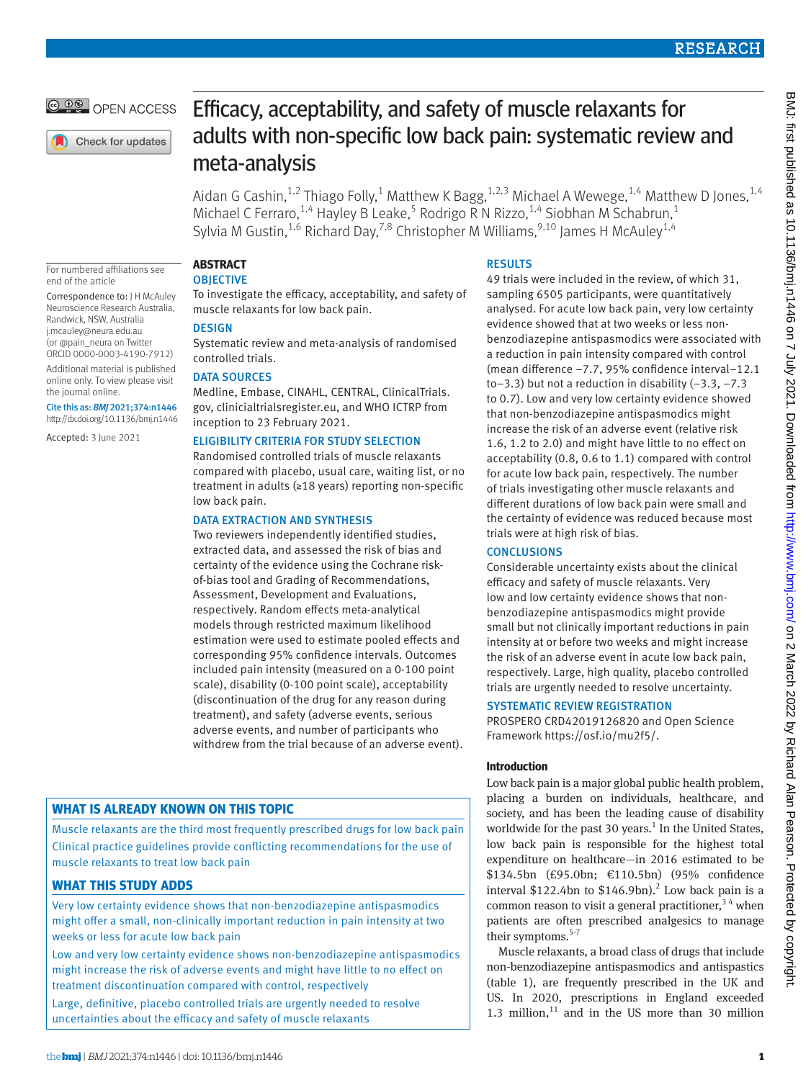**@ 00 OPEN ACCESS** 

Check for updates

# Efficacy, acceptability, and safety of muscle relaxants for adults with non-specific low back pain: systematic review and meta-analysis

Aidan G Cashin, $^{1,2}$  Thiago Folly, $^{1}$  Matthew K Bagg, $^{1,2,3}$  Michael A Wewege, $^{1,4}$  Matthew D Jones, $^{1,4}$ Michael C Ferraro,<sup>1,4</sup> Hayley B Leake,<sup>5</sup> Rodrigo R N Rizzo,<sup>1,4</sup> Siobhan M Schabrun,<sup>1</sup> Sylvia M Gustin,<sup>1,6</sup> Richard Day,<sup>7,8</sup> Christopher M Williams,<sup>9,10</sup> James H McAuley<sup>1,4</sup>

For numbered affiliations see end of the article

Correspondence to: J H McAuley Neuroscience Research Australia, Randwick, NSW, Australia [j.mcauley@neura.edu.au](mailto:j.mcauley@neura.edu.au)  (or [@pain\\_neura](https://twitter.com/pain_neura?lang=en) on Twitter ORCID [0000-0003-4190-7912](https://orcid.org/0000-0003-4190-7912)) Additional material is published online only. To view please visit the journal online.

Cite this as: *BMJ* 2021;374:n1446 http://dx.doi.org/10.1136/bmj.n1446

Accepted: 3 June 2021

**ABSTRACT OBJECTIVE** 

To investigate the efficacy, acceptability, and safety of muscle relaxants for low back pain.

## DESIGN

Systematic review and meta-analysis of randomised controlled trials.

## DATA SOURCES

Medline, Embase, CINAHL, CENTRAL, ClinicalTrials. gov, clinicialtrialsregister.eu, and WHO ICTRP from inception to 23 February 2021.

## ELIGIBILITY CRITERIA FOR STUDY SELECTION

Randomised controlled trials of muscle relaxants compared with placebo, usual care, waiting list, or no treatment in adults (≥18 years) reporting non-specific low back pain.

## DATA EXTRACTION AND SYNTHESIS

Two reviewers independently identified studies, extracted data, and assessed the risk of bias and certainty of the evidence using the Cochrane riskof-bias tool and Grading of Recommendations, Assessment, Development and Evaluations, respectively. Random effects meta-analytical models through restricted maximum likelihood estimation were used to estimate pooled effects and corresponding 95% confidence intervals. Outcomes included pain intensity (measured on a 0-100 point scale), disability (0-100 point scale), acceptability (discontinuation of the drug for any reason during treatment), and safety (adverse events, serious adverse events, and number of participants who withdrew from the trial because of an adverse event).

# **WHAT IS ALREADY KNOWN ON THIS TOPIC**

Muscle relaxants are the third most frequently prescribed drugs for low back pain Clinical practice guidelines provide conflicting recommendations for the use of muscle relaxants to treat low back pain

# **WHAT THIS STUDY ADDS**

Very low certainty evidence shows that non-benzodiazepine antispasmodics might offer a small, non-clinically important reduction in pain intensity at two weeks or less for acute low back pain

Low and very low certainty evidence shows non-benzodiazepine antispasmodics might increase the risk of adverse events and might have little to no effect on treatment discontinuation compared with control, respectively

Large, definitive, placebo controlled trials are urgently needed to resolve uncertainties about the efficacy and safety of muscle relaxants

## **RESULTS**

49 trials were included in the review, of which 31, sampling 6505 participants, were quantitatively analysed. For acute low back pain, very low certainty evidence showed that at two weeks or less nonbenzodiazepine antispasmodics were associated with a reduction in pain intensity compared with control (mean difference −7.7, 95% confidence interval−12.1 to−3.3) but not a reduction in disability (−3.3, −7.3 to 0.7). Low and very low certainty evidence showed that non-benzodiazepine antispasmodics might increase the risk of an adverse event (relative risk 1.6, 1.2 to 2.0) and might have little to no effect on acceptability (0.8, 0.6 to 1.1) compared with control for acute low back pain, respectively. The number of trials investigating other muscle relaxants and different durations of low back pain were small and the certainty of evidence was reduced because most trials were at high risk of bias.

# **CONCLUSIONS**

Considerable uncertainty exists about the clinical efficacy and safety of muscle relaxants. Very low and low certainty evidence shows that nonbenzodiazepine antispasmodics might provide small but not clinically important reductions in pain intensity at or before two weeks and might increase the risk of an adverse event in acute low back pain, respectively. Large, high quality, placebo controlled trials are urgently needed to resolve uncertainty.

# SYSTEMATIC REVIEW REGISTRATION

PROSPERO CRD42019126820 and Open Science Framework [https://osf.io/mu2f5/.](https://osf.io/mu2f5/)

# **Introduction**

Low back pain is a major global public health problem, placing a burden on individuals, healthcare, and society, and has been the leading cause of disability worldwide for the past 30 years.<sup>1</sup> In the United States, low back pain is responsible for the highest total expenditure on healthcare—in 2016 estimated to be \$134.5bn (£95.0bn; €110.5bn) (95% confidence interval  $$122.4$ bn to  $$146.9$ bn).<sup>2</sup> Low back pain is a common reason to visit a general practitioner,  $3<sup>4</sup>$  when patients are often prescribed analgesics to manage their symptoms.<sup>5-7</sup>

Muscle relaxants, a broad class of drugs that include non-benzodiazepine antispasmodics and antispastics (table 1), are frequently prescribed in the UK and US. In 2020, prescriptions in England exceeded 1.3 million, $11$  and in the US more than 30 million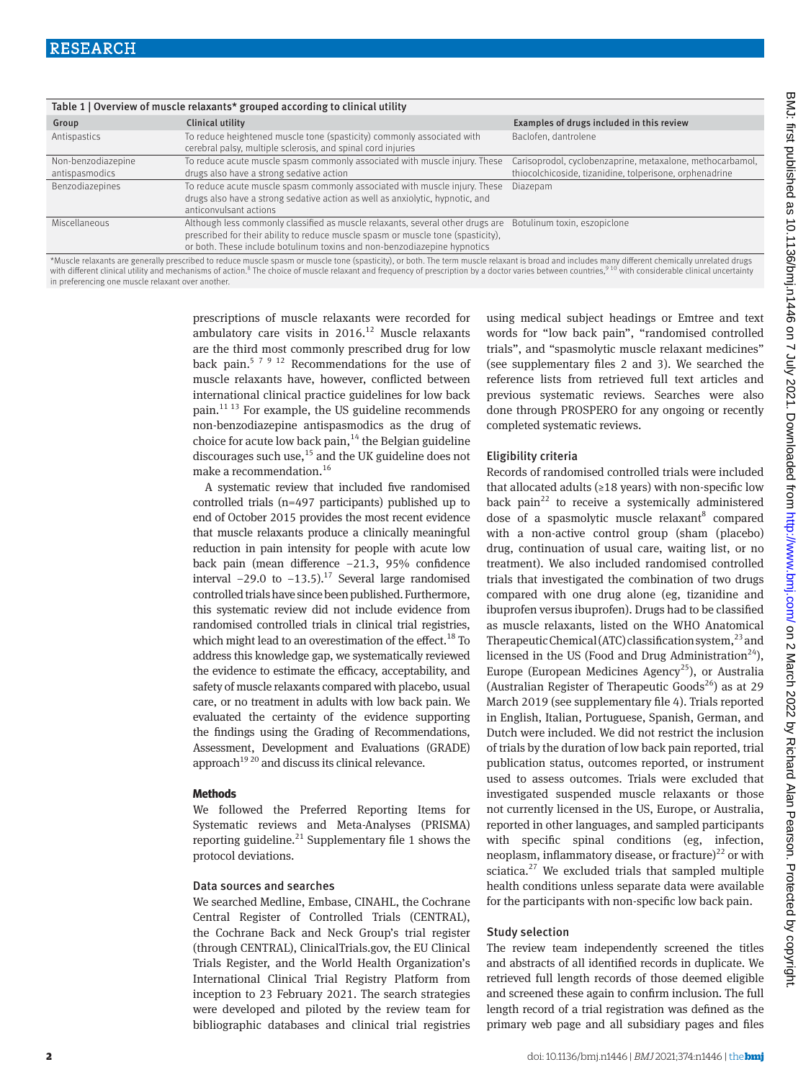| Table 1   Overview of muscle relaxants* grouped according to clinical utility                                                                                                                    |                                                                                                                                        |                                                           |  |  |  |  |  |  |  |
|--------------------------------------------------------------------------------------------------------------------------------------------------------------------------------------------------|----------------------------------------------------------------------------------------------------------------------------------------|-----------------------------------------------------------|--|--|--|--|--|--|--|
| Group                                                                                                                                                                                            | Clinical utility                                                                                                                       | Examples of drugs included in this review                 |  |  |  |  |  |  |  |
| Antispastics                                                                                                                                                                                     | To reduce heightened muscle tone (spasticity) commonly associated with<br>cerebral palsy, multiple sclerosis, and spinal cord injuries | Baclofen, dantrolene                                      |  |  |  |  |  |  |  |
| Non-benzodiazepine                                                                                                                                                                               | To reduce acute muscle spasm commonly associated with muscle injury. These                                                             | Carisoprodol, cyclobenzaprine, metaxalone, methocarbamol, |  |  |  |  |  |  |  |
| antispasmodics                                                                                                                                                                                   | drugs also have a strong sedative action                                                                                               | thiocolchicoside, tizanidine, tolperisone, orphenadrine   |  |  |  |  |  |  |  |
| Benzodiazepines                                                                                                                                                                                  | To reduce acute muscle spasm commonly associated with muscle injury. These                                                             | Diazepam                                                  |  |  |  |  |  |  |  |
|                                                                                                                                                                                                  | drugs also have a strong sedative action as well as anxiolytic, hypnotic, and                                                          |                                                           |  |  |  |  |  |  |  |
|                                                                                                                                                                                                  | anticonvulsant actions                                                                                                                 |                                                           |  |  |  |  |  |  |  |
| Miscellaneous                                                                                                                                                                                    | Although less commonly classified as muscle relaxants, several other drugs are                                                         | Botulinum toxin, eszopiclone                              |  |  |  |  |  |  |  |
|                                                                                                                                                                                                  | prescribed for their ability to reduce muscle spasm or muscle tone (spasticity),                                                       |                                                           |  |  |  |  |  |  |  |
|                                                                                                                                                                                                  | or both. These include botulinum toxins and non-benzodiazepine hypnotics                                                               |                                                           |  |  |  |  |  |  |  |
| *Muscle relaxants are generally prescribed to reduce muscle spasm or muscle tone (spasticity), or both. The term muscle relaxant is broad and includes many different chemically unrelated drugs |                                                                                                                                        |                                                           |  |  |  |  |  |  |  |

\*Muscle relaxants are generally prescribed to reduce muscle spasm or muscle tone (spasticity), or both. The term muscle relaxant is broad and includes many different chemically unrelated drugs<br>with different clinical utili in preferencing one muscle relaxant over another.

> prescriptions of muscle relaxants were recorded for ambulatory care visits in  $2016$ <sup>12</sup> Muscle relaxants are the third most commonly prescribed drug for low back pain.<sup>5 7 9 12</sup> Recommendations for the use of muscle relaxants have, however, conflicted between international clinical practice guidelines for low back pain. $11 13$  For example, the US guideline recommends non-benzodiazepine antispasmodics as the drug of choice for acute low back pain, $14$  the Belgian guideline discourages such use, $^{15}$  and the UK guideline does not make a recommendation.16

> A systematic review that included five randomised controlled trials (n=497 participants) published up to end of October 2015 provides the most recent evidence that muscle relaxants produce a clinically meaningful reduction in pain intensity for people with acute low back pain (mean difference −21.3, 95% confidence interval  $-29.0$  to  $-13.5$ ).<sup>17</sup> Several large randomised controlled trials have since been published. Furthermore, this systematic review did not include evidence from randomised controlled trials in clinical trial registries, which might lead to an overestimation of the effect.<sup>18</sup> To address this knowledge gap, we systematically reviewed the evidence to estimate the efficacy, acceptability, and safety of muscle relaxants compared with placebo, usual care, or no treatment in adults with low back pain. We evaluated the certainty of the evidence supporting the findings using the Grading of Recommendations, Assessment, Development and Evaluations (GRADE) approach<sup>1920</sup> and discuss its clinical relevance.

#### **Methods**

We followed the Preferred Reporting Items for Systematic reviews and Meta-Analyses (PRISMA) reporting guideline. $^{21}$  Supplementary file 1 shows the protocol deviations.

#### Data sources and searches

We searched Medline, Embase, CINAHL, the Cochrane Central Register of Controlled Trials (CENTRAL), the Cochrane Back and Neck Group's trial register (through CENTRAL), ClinicalTrials.gov, the EU Clinical Trials Register, and the World Health Organization's International Clinical Trial Registry Platform from inception to 23 February 2021. The search strategies were developed and piloted by the review team for bibliographic databases and clinical trial registries using medical subject headings or Emtree and text words for "low back pain", "randomised controlled trials", and "spasmolytic muscle relaxant medicines" (see supplementary files 2 and 3). We searched the reference lists from retrieved full text articles and previous systematic reviews. Searches were also done through PROSPERO for any ongoing or recently completed systematic reviews.

#### Eligibility criteria

Records of randomised controlled trials were included that allocated adults ( $\geq$ 18 years) with non-specific low back pain<sup>22</sup> to receive a systemically administered dose of a spasmolytic muscle relaxant<sup>8</sup> compared with a non-active control group (sham (placebo) drug, continuation of usual care, waiting list, or no treatment). We also included randomised controlled trials that investigated the combination of two drugs compared with one drug alone (eg, tizanidine and ibuprofen versus ibuprofen). Drugs had to be classified as muscle relaxants, listed on the WHO Anatomical Therapeutic Chemical (ATC) classification system, $^{23}$  and licensed in the US (Food and Drug Administration<sup>24</sup>). Europe (European Medicines Agency<sup>25</sup>), or Australia (Australian Register of Therapeutic Goods<sup>26</sup>) as at 29 March 2019 (see supplementary file 4). Trials reported in English, Italian, Portuguese, Spanish, German, and Dutch were included. We did not restrict the inclusion of trials by the duration of low back pain reported, trial publication status, outcomes reported, or instrument used to assess outcomes. Trials were excluded that investigated suspended muscle relaxants or those not currently licensed in the US, Europe, or Australia, reported in other languages, and sampled participants with specific spinal conditions (eg, infection, neoplasm, inflammatory disease, or fracture)<sup>22</sup> or with sciatica. $27$  We excluded trials that sampled multiple health conditions unless separate data were available for the participants with non-specific low back pain.

## Study selection

The review team independently screened the titles and abstracts of all identified records in duplicate. We retrieved full length records of those deemed eligible and screened these again to confirm inclusion. The full length record of a trial registration was defined as the primary web page and all subsidiary pages and files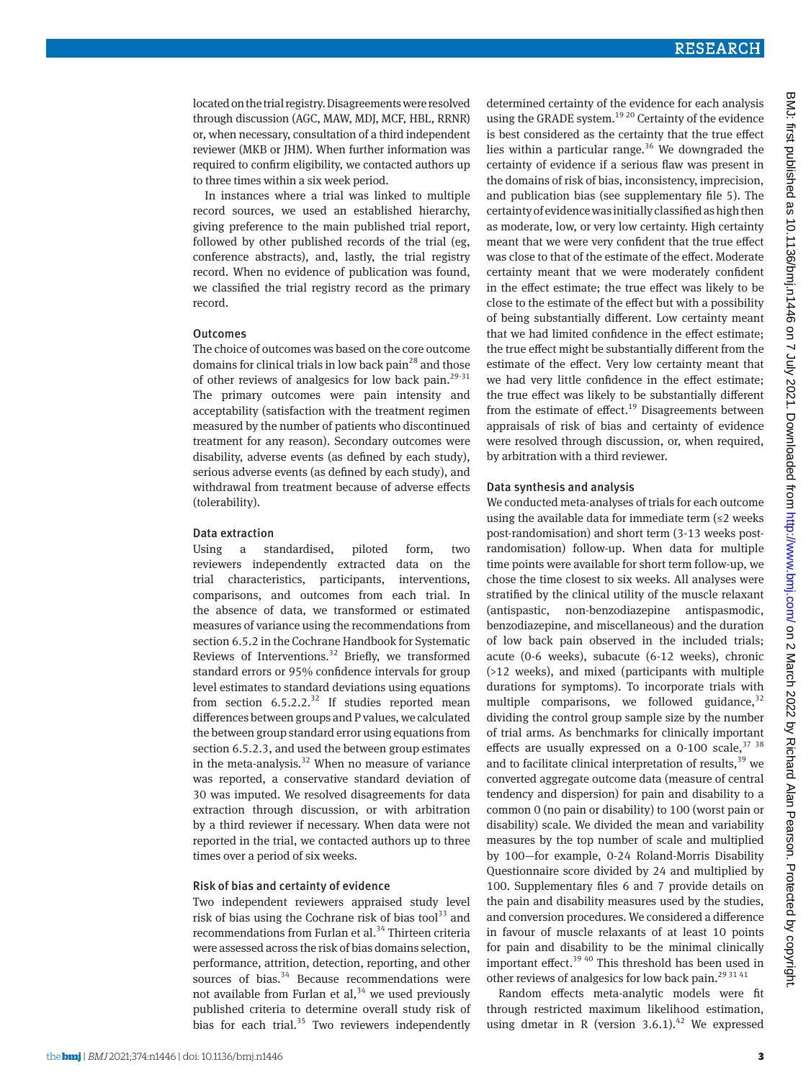located on the trial registry. Disagreements were resolved through discussion (AGC, MAW, MDJ, MCF, HBL, RRNR) or, when necessary, consultation of a third independent reviewer (MKB or JHM). When further information was required to confirm eligibility, we contacted authors up to three times within a six week period.

In instances where a trial was linked to multiple record sources, we used an established hierarchy, giving preference to the main published trial report, followed by other published records of the trial (eg, conference abstracts), and, lastly, the trial registry record. When no evidence of publication was found, we classified the trial registry record as the primary record.

#### **Outcomes**

The choice of outcomes was based on the core outcome domains for clinical trials in low back pain<sup>28</sup> and those of other reviews of analgesics for low back pain.<sup>29-31</sup> The primary outcomes were pain intensity and acceptability (satisfaction with the treatment regimen measured by the number of patients who discontinued treatment for any reason). Secondary outcomes were disability, adverse events (as defined by each study), serious adverse events (as defined by each study), and withdrawal from treatment because of adverse effects (tolerability).

#### Data extraction

Using a standardised, piloted form, two reviewers independently extracted data on the trial characteristics, participants, interventions, comparisons, and outcomes from each trial. In the absence of data, we transformed or estimated measures of variance using the recommendations from section 6.5.2 in the Cochrane Handbook for Systematic Reviews of Interventions.<sup>32</sup> Briefly, we transformed standard errors or 95% confidence intervals for group level estimates to standard deviations using equations from section  $6.5.2.2^{32}$  If studies reported mean differences between groups and P values, we calculated the between group standard error using equations from section 6.5.2.3, and used the between group estimates in the meta-analysis. $32$  When no measure of variance was reported, a conservative standard deviation of 30 was imputed. We resolved disagreements for data extraction through discussion, or with arbitration by a third reviewer if necessary. When data were not reported in the trial, we contacted authors up to three times over a period of six weeks.

#### Risk of bias and certainty of evidence

Two independent reviewers appraised study level risk of bias using the Cochrane risk of bias tool $^{33}$  and recommendations from Furlan et al.<sup>34</sup> Thirteen criteria were assessed across the risk of bias domains selection, performance, attrition, detection, reporting, and other sources of bias. $34$  Because recommendations were not available from Furlan et al,  $34$  we used previously published criteria to determine overall study risk of bias for each trial. $35$  Two reviewers independently determined certainty of the evidence for each analysis using the GRADE system.<sup>19 20</sup> Certainty of the evidence is best considered as the certainty that the true effect lies within a particular range.<sup>36</sup> We downgraded the certainty of evidence if a serious flaw was present in the domains of risk of bias, inconsistency, imprecision, and publication bias (see supplementary file 5). The certainty of evidence was initially classified as high then as moderate, low, or very low certainty. High certainty meant that we were very confident that the true effect was close to that of the estimate of the effect. Moderate certainty meant that we were moderately confident in the effect estimate; the true effect was likely to be close to the estimate of the effect but with a possibility of being substantially different. Low certainty meant that we had limited confidence in the effect estimate; the true effect might be substantially different from the estimate of the effect. Very low certainty meant that we had very little confidence in the effect estimate; the true effect was likely to be substantially different from the estimate of effect.<sup>19</sup> Disagreements between appraisals of risk of bias and certainty of evidence were resolved through discussion, or, when required, by arbitration with a third reviewer.

### Data synthesis and analysis

We conducted meta-analyses of trials for each outcome using the available data for immediate term  $(\leq 2$  weeks post-randomisation) and short term (3-13 weeks postrandomisation) follow-up. When data for multiple time points were available for short term follow-up, we chose the time closest to six weeks. All analyses were stratified by the clinical utility of the muscle relaxant (antispastic, non-benzodiazepine antispasmodic, benzodiazepine, and miscellaneous) and the duration of low back pain observed in the included trials; acute (0-6 weeks), subacute (6-12 weeks), chronic (>12 weeks), and mixed (participants with multiple durations for symptoms). To incorporate trials with multiple comparisons, we followed guidance,  $32$ dividing the control group sample size by the number of trial arms. As benchmarks for clinically important effects are usually expressed on a 0-100 scale,  $37\,38$ and to facilitate clinical interpretation of results, $39$  we converted aggregate outcome data (measure of central tendency and dispersion) for pain and disability to a common 0 (no pain or disability) to 100 (worst pain or disability) scale. We divided the mean and variability measures by the top number of scale and multiplied by 100—for example, 0-24 Roland-Morris Disability Questionnaire score divided by 24 and multiplied by 100. Supplementary files 6 and 7 provide details on the pain and disability measures used by the studies, and conversion procedures. We considered a difference in favour of muscle relaxants of at least 10 points for pain and disability to be the minimal clinically important effect.<sup>39 40</sup> This threshold has been used in other reviews of analgesics for low back pain.<sup>29 31 41</sup>

Random effects meta-analytic models were fit through restricted maximum likelihood estimation, using dmetar in R (version  $3.6.1$ ).<sup>42</sup> We expressed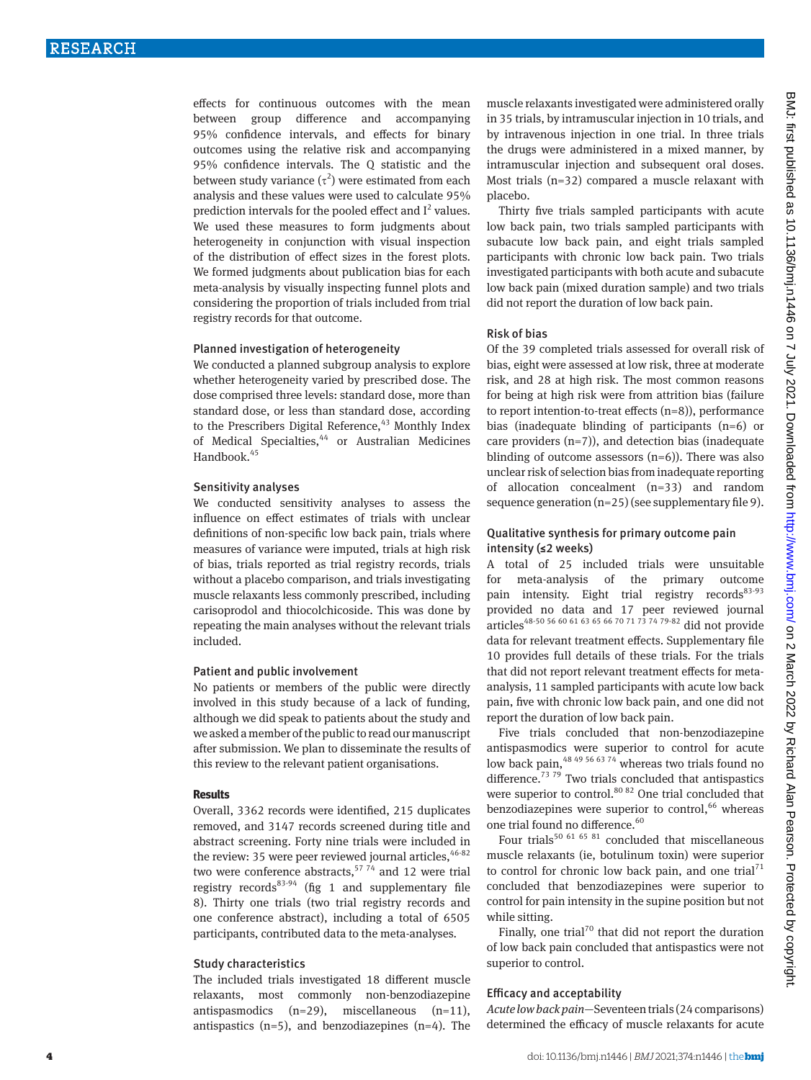effects for continuous outcomes with the mean between group difference and accompanying 95% confidence intervals, and effects for binary outcomes using the relative risk and accompanying 95% confidence intervals. The Q statistic and the between study variance  $(\tau^2)$  were estimated from each analysis and these values were used to calculate 95% prediction intervals for the pooled effect and  $I^2$  values. We used these measures to form judgments about heterogeneity in conjunction with visual inspection of the distribution of effect sizes in the forest plots. We formed judgments about publication bias for each meta-analysis by visually inspecting funnel plots and considering the proportion of trials included from trial registry records for that outcome.

#### Planned investigation of heterogeneity

We conducted a planned subgroup analysis to explore whether heterogeneity varied by prescribed dose. The dose comprised three levels: standard dose, more than standard dose, or less than standard dose, according to the Prescribers Digital Reference,<sup>43</sup> Monthly Index of Medical Specialties,<sup>44</sup> or Australian Medicines Handbook.<sup>45</sup>

#### Sensitivity analyses

We conducted sensitivity analyses to assess the influence on effect estimates of trials with unclear definitions of non-specific low back pain, trials where measures of variance were imputed, trials at high risk of bias, trials reported as trial registry records, trials without a placebo comparison, and trials investigating muscle relaxants less commonly prescribed, including carisoprodol and thiocolchicoside. This was done by repeating the main analyses without the relevant trials included.

#### Patient and public involvement

No patients or members of the public were directly involved in this study because of a lack of funding, although we did speak to patients about the study and we asked a member of the public to read our manuscript after submission. We plan to disseminate the results of this review to the relevant patient organisations.

#### **Results**

Overall, 3362 records were identified, 215 duplicates removed, and 3147 records screened during title and abstract screening. Forty nine trials were included in the review: 35 were peer reviewed journal articles,  $46-82$ two were conference abstracts,  $5774$  and 12 were trial registry records<sup>83-94</sup> (fig 1 and supplementary file 8). Thirty one trials (two trial registry records and one conference abstract), including a total of 6505 participants, contributed data to the meta-analyses.

#### Study characteristics

The included trials investigated 18 different muscle relaxants, most commonly non-benzodiazepine antispasmodics (n=29), miscellaneous (n=11), antispastics  $(n=5)$ , and benzodiazepines  $(n=4)$ . The

muscle relaxants investigated were administered orally in 35 trials, by intramuscular injection in 10 trials, and by intravenous injection in one trial. In three trials the drugs were administered in a mixed manner, by intramuscular injection and subsequent oral doses. Most trials (n=32) compared a muscle relaxant with placebo.

Thirty five trials sampled participants with acute low back pain, two trials sampled participants with subacute low back pain, and eight trials sampled participants with chronic low back pain. Two trials investigated participants with both acute and subacute low back pain (mixed duration sample) and two trials did not report the duration of low back pain.

#### Risk of bias

Of the 39 completed trials assessed for overall risk of bias, eight were assessed at low risk, three at moderate risk, and 28 at high risk. The most common reasons for being at high risk were from attrition bias (failure to report intention-to-treat effects (n=8)), performance bias (inadequate blinding of participants (n=6) or care providers  $(n=7)$ ), and detection bias (inadequate blinding of outcome assessors  $(n=6)$ ). There was also unclear risk of selection bias from inadequate reporting of allocation concealment (n=33) and random sequence generation  $(n=25)$  (see supplementary file 9).

#### Qualitative synthesis for primary outcome pain intensity (≤2 weeks)

A total of 25 included trials were unsuitable for meta-analysis of the primary outcome pain intensity. Eight trial registry records<sup>83-93</sup> provided no data and 17 peer reviewed journal articles<sup>48-50</sup> 56 60 61 63 65 66 70 71 73 74 79-82 did not provide data for relevant treatment effects. Supplementary file 10 provides full details of these trials. For the trials that did not report relevant treatment effects for metaanalysis, 11 sampled participants with acute low back pain, five with chronic low back pain, and one did not report the duration of low back pain.

Five trials concluded that non-benzodiazepine antispasmodics were superior to control for acute low back pain,<sup>48 49 56 63 74</sup> whereas two trials found no difference. $7379$  Two trials concluded that antispastics were superior to control.<sup>80 82</sup> One trial concluded that benzodiazepines were superior to control,  $66$  whereas one trial found no difference.<sup>60</sup>

Four trials<sup>50 61 65 81</sup> concluded that miscellaneous muscle relaxants (ie, botulinum toxin) were superior to control for chronic low back pain, and one trial<sup>71</sup> concluded that benzodiazepines were superior to control for pain intensity in the supine position but not while sitting.

Finally, one trial<sup>70</sup> that did not report the duration of low back pain concluded that antispastics were not superior to control.

## Efficacy and acceptability

*Acute low back pain—*Seventeen trials (24 comparisons) determined the efficacy of muscle relaxants for acute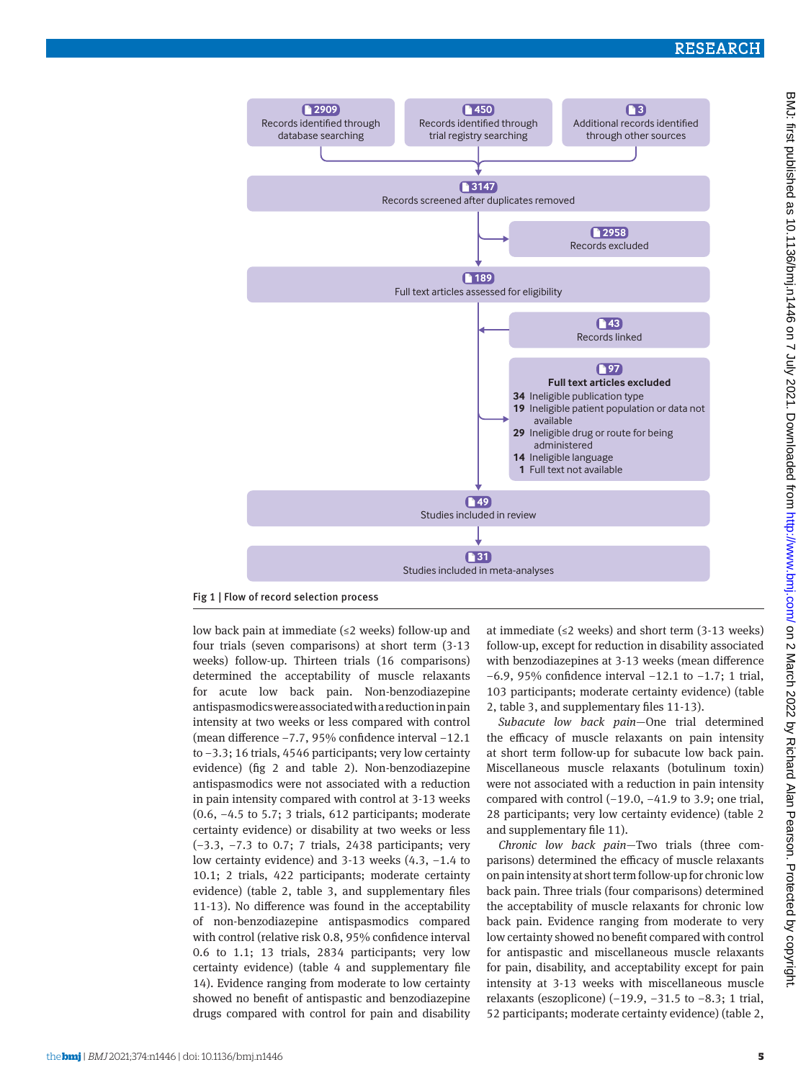

Fig 1 | Flow of record selection process

low back pain at immediate (≤2 weeks) follow-up and four trials (seven comparisons) at short term (3-13 weeks) follow-up. Thirteen trials (16 comparisons) determined the acceptability of muscle relaxants for acute low back pain. Non-benzodiazepine antispasmodics were associated with a reduction in pain intensity at two weeks or less compared with control (mean difference −7.7, 95% confidence interval −12.1 to −3.3; 16 trials, 4546 participants; very low certainty evidence) (fig 2 and table 2). Non-benzodiazepine antispasmodics were not associated with a reduction in pain intensity compared with control at 3-13 weeks (0.6, −4.5 to 5.7; 3 trials, 612 participants; moderate certainty evidence) or disability at two weeks or less (−3.3, −7.3 to 0.7; 7 trials, 2438 participants; very low certainty evidence) and 3-13 weeks (4.3, −1.4 to 10.1; 2 trials, 422 participants; moderate certainty evidence) (table 2, table 3, and supplementary files 11-13). No difference was found in the acceptability of non-benzodiazepine antispasmodics compared with control (relative risk 0.8, 95% confidence interval 0.6 to 1.1; 13 trials, 2834 participants; very low certainty evidence) (table 4 and supplementary file 14). Evidence ranging from moderate to low certainty showed no benefit of antispastic and benzodiazepine drugs compared with control for pain and disability at immediate ( $\leq$ 2 weeks) and short term (3-13 weeks) follow-up, except for reduction in disability associated with benzodiazepines at 3-13 weeks (mean difference −6.9, 95% confidence interval −12.1 to −1.7; 1 trial, 103 participants; moderate certainty evidence) (table 2, table 3, and supplementary files 11-13).

*Subacute low back pain—*One trial determined the efficacy of muscle relaxants on pain intensity at short term follow-up for subacute low back pain. Miscellaneous muscle relaxants (botulinum toxin) were not associated with a reduction in pain intensity compared with control (−19.0, −41.9 to 3.9; one trial, 28 participants; very low certainty evidence) (table 2 and supplementary file 11).

*Chronic low back pain—*Two trials (three comparisons) determined the efficacy of muscle relaxants on pain intensity at short term follow-up for chronic low back pain. Three trials (four comparisons) determined the acceptability of muscle relaxants for chronic low back pain. Evidence ranging from moderate to very low certainty showed no benefit compared with control for antispastic and miscellaneous muscle relaxants for pain, disability, and acceptability except for pain intensity at 3-13 weeks with miscellaneous muscle relaxants (eszoplicone) (−19.9, −31.5 to −8.3; 1 trial, 52 participants; moderate certainty evidence) (table 2,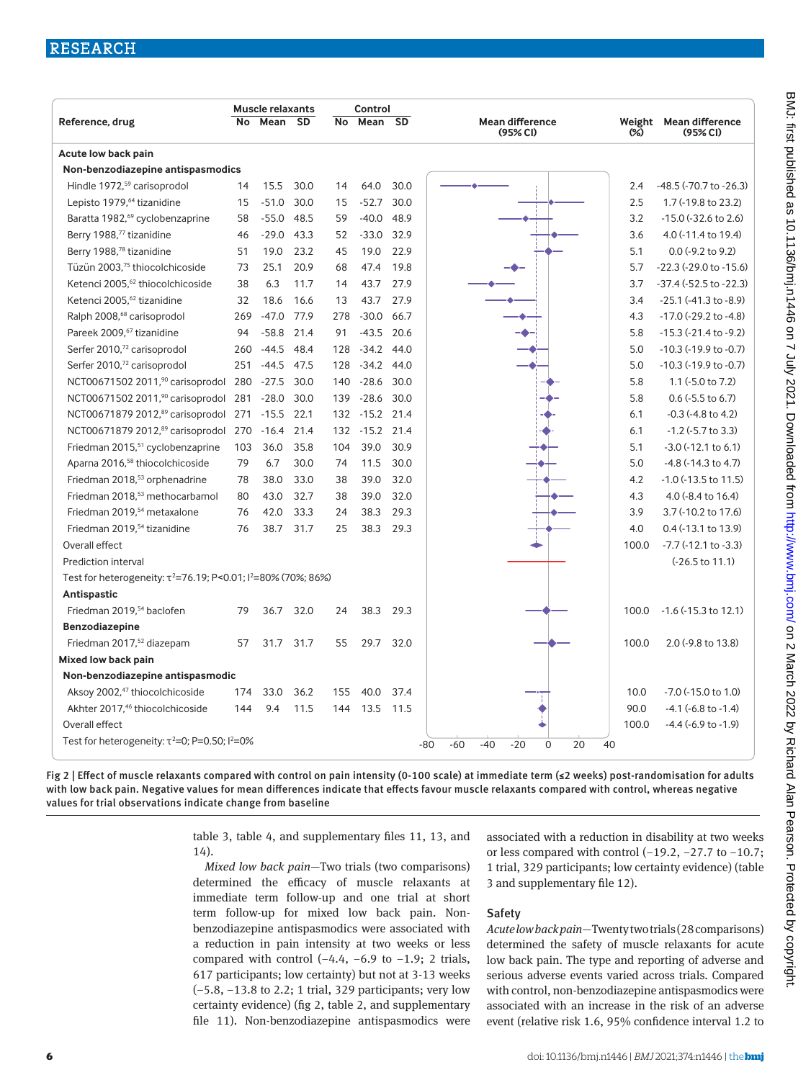|                                                                               | Control<br><b>Muscle relaxants</b> |              |      |     |              |      |                                                    |       |                                               |
|-------------------------------------------------------------------------------|------------------------------------|--------------|------|-----|--------------|------|----------------------------------------------------|-------|-----------------------------------------------|
| Reference, drug                                                               | No.                                | Mean SD      |      | No. | Mean SD      |      | Mean difference<br>(95% <sub>C</sub> )             | (%)   | Weight Mean difference<br>(95% <sub>C</sub> ) |
| Acute low back pain                                                           |                                    |              |      |     |              |      |                                                    |       |                                               |
| Non-benzodiazepine antispasmodics                                             |                                    |              |      |     |              |      |                                                    |       |                                               |
| Hindle 1972, <sup>59</sup> carisoprodol                                       | 14                                 | 15.5         | 30.0 | 14  | 64.0         | 30.0 |                                                    | 2.4   | -48.5 (-70.7 to -26.3)                        |
| Lepisto 1979, <sup>64</sup> tizanidine                                        | 15                                 | $-51.0$      | 30.0 | 15  | $-52.7$      | 30.0 |                                                    | 2.5   | 1.7 (-19.8 to 23.2)                           |
| Baratta 1982, <sup>69</sup> cyclobenzaprine                                   | 58                                 | $-55.0$      | 48.5 | 59  | $-40.0$      | 48.9 |                                                    | 3.2   | $-15.0$ ( $-32.6$ to 2.6)                     |
| Berry 1988,77 tizanidine                                                      | 46                                 | $-29.0$      | 43.3 | 52  | $-33.0$ 32.9 |      |                                                    | 3.6   | 4.0 (-11.4 to 19.4)                           |
| Berry 1988,78 tizanidine                                                      | 51                                 | 19.0         | 23.2 | 45  | 19.0         | 22.9 |                                                    | 5.1   | $0.0$ (-9.2 to 9.2)                           |
| Tüzün 2003,75 thiocolchicoside                                                | 73                                 | 25.1         | 20.9 | 68  | 47.4         | 19.8 |                                                    | 5.7   | $-22.3$ ( $-29.0$ to $-15.6$ )                |
| Ketenci 2005, <sup>62</sup> thiocolchicoside                                  | 38                                 | 6.3          | 11.7 | 14  | 43.7         | 27.9 |                                                    | 3.7   | -37.4 (-52.5 to -22.3)                        |
| Ketenci 2005, <sup>62</sup> tizanidine                                        | 32                                 | 18.6         | 16.6 | 13  | 43.7         | 27.9 |                                                    | 3.4   | $-25.1$ ( $-41.3$ to $-8.9$ )                 |
| Ralph 2008, <sup>68</sup> carisoprodol                                        | 269                                | $-47.0$      | 77.9 | 278 | $-30.0$      | 66.7 |                                                    | 4.3   | $-17.0$ ( $-29.2$ to $-4.8$ )                 |
| Pareek 2009, <sup>67</sup> tizanidine                                         | 94                                 | $-58.8$      | 21.4 | 91  | $-43.5$      | 20.6 |                                                    | 5.8   | $-15.3$ ( $-21.4$ to $-9.2$ )                 |
| Serfer 2010,72 carisoprodol                                                   | 260                                | $-44.5$      | 48.4 | 128 | $-34.2$      | 44.0 |                                                    | 5.0   | $-10.3$ ( $-19.9$ to $-0.7$ )                 |
| Serfer 2010,72 carisoprodol                                                   | 251                                | $-44.5$      | 47.5 | 128 | $-34.2$ 44.0 |      |                                                    | 5.0   | $-10.3$ ( $-19.9$ to $-0.7$ )                 |
| NCT00671502 2011, <sup>90</sup> carisoprodol 280                              |                                    | $-27.5$      | 30.0 | 140 | $-28.6$      | 30.0 |                                                    | 5.8   | 1.1 (-5.0 to 7.2)                             |
| NCT00671502 2011, <sup>90</sup> carisoprodol                                  | 281                                | $-28.0$      | 30.0 | 139 | $-28.6$      | 30.0 |                                                    | 5.8   | $0.6$ ( $-5.5$ to 6.7)                        |
| NCT00671879 2012, <sup>89</sup> carisoprodol                                  | 271                                | $-15.5$      | 22.1 | 132 | $-15.2$ 21.4 |      |                                                    | 6.1   | $-0.3$ ( $-4.8$ to $4.2$ )                    |
| NCT00671879 2012, <sup>89</sup> carisoprodol 270                              |                                    | $-16.4$ 21.4 |      | 132 | $-15.2$ 21.4 |      |                                                    | 6.1   | $-1.2$ ( $-5.7$ to 3.3)                       |
| Friedman 2015, <sup>51</sup> cyclobenzaprine                                  | 103                                | 36.0         | 35.8 | 104 | 39.0         | 30.9 |                                                    | 5.1   | $-3.0$ ( $-12.1$ to 6.1)                      |
| Aparna 2016, <sup>58</sup> thiocolchicoside                                   | 79                                 | 6.7          | 30.0 | 74  | 11.5         | 30.0 |                                                    | 5.0   | $-4.8$ ( $-14.3$ to $4.7$ )                   |
| Friedman 2018, <sup>53</sup> orphenadrine                                     | 78                                 | 38.0         | 33.0 | 38  | 39.0         | 32.0 |                                                    | 4.2   | -1.0 (-13.5 to 11.5)                          |
| Friedman 2018, <sup>53</sup> methocarbamol                                    | 80                                 | 43.0         | 32.7 | 38  | 39.0         | 32.0 |                                                    | 4.3   | 4.0 (-8.4 to 16.4)                            |
| Friedman 2019, <sup>54</sup> metaxalone                                       | 76                                 | 42.0         | 33.3 | 24  | 38.3         | 29.3 |                                                    | 3.9   | 3.7 (-10.2 to 17.6)                           |
| Friedman 2019, <sup>54</sup> tizanidine                                       | 76                                 | 38.7 31.7    |      | 25  | 38.3         | 29.3 |                                                    | 4.0   | 0.4 (-13.1 to 13.9)                           |
| Overall effect                                                                |                                    |              |      |     |              |      |                                                    | 100.0 | $-7.7$ ( $-12.1$ to $-3.3$ )                  |
| Prediction interval                                                           |                                    |              |      |     |              |      |                                                    |       | (-26.5 to 11.1)                               |
| Test for heterogeneity: $\tau^2 = 76.19$ ; P<0.01; $\tau^2 = 80\%$ (70%; 86%) |                                    |              |      |     |              |      |                                                    |       |                                               |
| Antispastic                                                                   |                                    |              |      |     |              |      |                                                    |       |                                               |
| Friedman 2019, <sup>54</sup> baclofen                                         | 79                                 | 36.7         | 32.0 | 24  | 38.3         | 29.3 |                                                    | 100.0 | $-1.6$ ( $-15.3$ to 12.1)                     |
| Benzodiazepine                                                                |                                    |              |      |     |              |      |                                                    |       |                                               |
| Friedman 2017, <sup>52</sup> diazepam                                         | 57                                 | 31.7         | 31.7 | 55  | 29.7         | 32.0 |                                                    | 100.0 | 2.0 (-9.8 to 13.8)                            |
| Mixed low back pain                                                           |                                    |              |      |     |              |      |                                                    |       |                                               |
| Non-benzodiazepine antispasmodic                                              |                                    |              |      |     |              |      |                                                    |       |                                               |
| Aksoy 2002, <sup>47</sup> thiocolchicoside                                    | 174                                | 33.0         | 36.2 | 155 | 40.0         | 37.4 |                                                    | 10.0  | -7.0 (-15.0 to 1.0)                           |
| Akhter 2017, <sup>46</sup> thiocolchicoside                                   | 144                                | 9.4          | 11.5 | 144 | 13.5         | 11.5 |                                                    | 90.0  | $-4.1$ ( $-6.8$ to $-1.4$ )                   |
| Overall effect                                                                |                                    |              |      |     |              |      |                                                    | 100.0 | $-4.4$ ( $-6.9$ to $-1.9$ )                   |
| Test for heterogeneity: $\tau^2 = 0$ ; P=0.50; $\frac{12}{20\%}$              |                                    |              |      |     |              |      | 20<br>$-80$<br>$-60$<br>$-40$<br>$-20$<br>$\Omega$ | 40    |                                               |

Fig 2 | Effect of muscle relaxants compared with control on pain intensity (0-100 scale) at immediate term (≤2 weeks) post-randomisation for adults with low back pain. Negative values for mean differences indicate that effects favour muscle relaxants compared with control, whereas negative values for trial observations indicate change from baseline

> table 3, table 4, and supplementary files 11, 13, and 14).

> *Mixed low back pain—*Two trials (two comparisons) determined the efficacy of muscle relaxants at immediate term follow-up and one trial at short term follow-up for mixed low back pain. Nonbenzodiazepine antispasmodics were associated with a reduction in pain intensity at two weeks or less compared with control  $(-4.4, -6.9$  to  $-1.9; 2$  trials, 617 participants; low certainty) but not at 3-13 weeks (−5.8, −13.8 to 2.2; 1 trial, 329 participants; very low certainty evidence) (fig 2, table 2, and supplementary file 11). Non-benzodiazepine antispasmodics were

associated with a reduction in disability at two weeks or less compared with control (−19.2, −27.7 to −10.7; 1 trial, 329 participants; low certainty evidence) (table 3 and supplementary file 12).

## Safety

*Acute low back pain—*Twenty two trials (28 comparisons) determined the safety of muscle relaxants for acute low back pain. The type and reporting of adverse and serious adverse events varied across trials. Compared with control, non-benzodiazepine antispasmodics were associated with an increase in the risk of an adverse event (relative risk 1.6, 95% confidence interval 1.2 to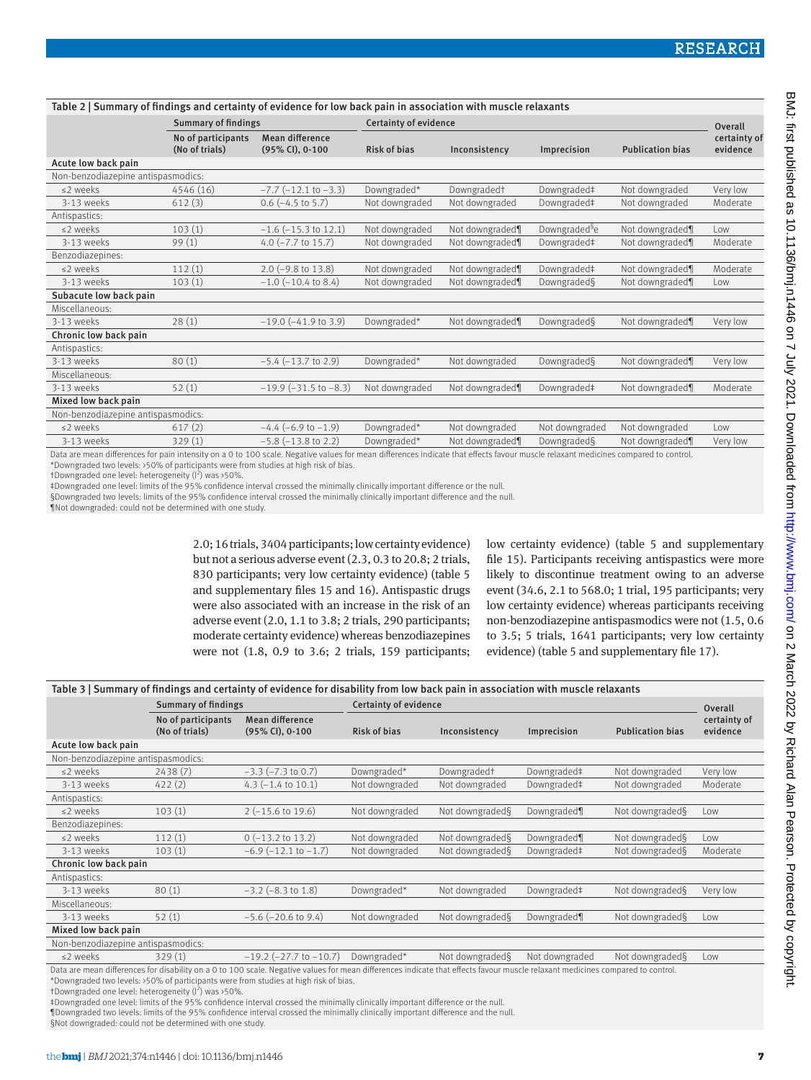| Table 2   Summary of findings and certainty of evidence for low back pain in association with muscle relaxants |                                      |                                    |                       |                         |                           |                         |                                     |  |  |  |
|----------------------------------------------------------------------------------------------------------------|--------------------------------------|------------------------------------|-----------------------|-------------------------|---------------------------|-------------------------|-------------------------------------|--|--|--|
|                                                                                                                | <b>Summary of findings</b>           |                                    | Certainty of evidence |                         |                           |                         |                                     |  |  |  |
|                                                                                                                | No of participants<br>(No of trials) | Mean difference<br>(95% CI), 0-100 | <b>Risk of bias</b>   | Inconsistency           | Imprecision               | <b>Publication bias</b> | Overall<br>certainty of<br>evidence |  |  |  |
| Acute low back pain                                                                                            |                                      |                                    |                       |                         |                           |                         |                                     |  |  |  |
| Non-benzodiazepine antispasmodics:                                                                             |                                      |                                    |                       |                         |                           |                         |                                     |  |  |  |
| ≤2 weeks                                                                                                       | 4546 (16)                            | $-7.7$ ( $-12.1$ to $-3.3$ )       | Downgraded*           | Downgraded <sup>+</sup> | Downgraded‡               | Not downgraded          | Very low                            |  |  |  |
| 3-13 weeks                                                                                                     | 612(3)                               | $0.6$ (-4.5 to 5.7)                | Not downgraded        | Not downgraded          | Downgraded‡               | Not downgraded          | Moderate                            |  |  |  |
| Antispastics:                                                                                                  |                                      |                                    |                       |                         |                           |                         |                                     |  |  |  |
| ≤2 weeks                                                                                                       | 103(1)                               | $-1.6$ ( $-15.3$ to 12.1)          | Not downgraded        | Not downgraded¶         | Downgraded <sup>§</sup> e | Not downgraded¶         | Low                                 |  |  |  |
| 3-13 weeks                                                                                                     | 99(1)                                | 4.0 $(-7.7$ to 15.7)               | Not downgraded        | Not downgraded¶         | Downgraded‡               | Not downgraded¶         | Moderate                            |  |  |  |
| Benzodiazepines:                                                                                               |                                      |                                    |                       |                         |                           |                         |                                     |  |  |  |
| $\leq$ 2 weeks                                                                                                 | 112(1)                               | $2.0$ (-9.8 to 13.8)               | Not downgraded        | Not downgraded¶         | Downgraded‡               | Not downgraded¶         | Moderate                            |  |  |  |
| 3-13 weeks                                                                                                     | 103(1)                               | $-1.0$ ( $-10.4$ to 8.4)           | Not downgraded        | Not downgraded¶         | Downgraded§               | Not downgraded¶         | Low                                 |  |  |  |
| Subacute low back pain                                                                                         |                                      |                                    |                       |                         |                           |                         |                                     |  |  |  |
| Miscellaneous:                                                                                                 |                                      |                                    |                       |                         |                           |                         |                                     |  |  |  |
| 3-13 weeks                                                                                                     | 28(1)                                | $-19.0$ ( $-41.9$ to 3.9)          | Downgraded*           | Not downgraded¶         | Downgraded§               | Not downgraded¶         | Very low                            |  |  |  |
| Chronic low back pain                                                                                          |                                      |                                    |                       |                         |                           |                         |                                     |  |  |  |
| Antispastics:                                                                                                  |                                      |                                    |                       |                         |                           |                         |                                     |  |  |  |
| 3-13 weeks                                                                                                     | 80(1)                                | $-5.4$ ( $-13.7$ to 2.9)           | Downgraded*           | Not downgraded          | Downgraded§               | Not downgraded¶         | Very low                            |  |  |  |
| Miscellaneous:                                                                                                 |                                      |                                    |                       |                         |                           |                         |                                     |  |  |  |
| 3-13 weeks                                                                                                     | 52(1)                                | $-19.9$ ( $-31.5$ to $-8.3$ )      | Not downgraded        | Not downgraded¶         | Downgraded‡               | Not downgraded¶         | Moderate                            |  |  |  |
| Mixed low back pain                                                                                            |                                      |                                    |                       |                         |                           |                         |                                     |  |  |  |
| Non-benzodiazepine antispasmodics:                                                                             |                                      |                                    |                       |                         |                           |                         |                                     |  |  |  |
| ≤2 weeks                                                                                                       | 617(2)                               | $-4.4$ (-6.9 to $-1.9$ )           | Downgraded*           | Not downgraded          | Not downgraded            | Not downgraded          | $1$ OW                              |  |  |  |
| 3-13 weeks                                                                                                     | 329(1)                               | $-5.8$ ( $-13.8$ to 2.2)           | Downgraded*           | Not downgraded¶         | Downgraded§               | Not downgraded¶         | Very low                            |  |  |  |

Data are mean differences for pain intensity on a 0 to 100 scale. Negative values for mean differences indicate that effects favour muscle relaxant medicines compared to control. \*Downgraded two levels: >50% of participants were from studies at high risk of bias.

tDowngraded one level: heterogeneity ( $1^2$ ) was >50%.

‡Downgraded one level: limits of the 95% confidence interval crossed the minimally clinically important difference or the null.

§Downgraded two levels: limits of the 95% confidence interval crossed the minimally clinically important difference and the null.

¶Not downgraded: could not be determined with one study.

2.0; 16 trials, 3404 participants; low certainty evidence) but not a serious adverse event (2.3, 0.3 to 20.8; 2 trials, 830 participants; very low certainty evidence) (table 5 and supplementary files 15 and 16). Antispastic drugs were also associated with an increase in the risk of an adverse event (2.0, 1.1 to 3.8; 2 trials, 290 participants; moderate certainty evidence) whereas benzodiazepines were not (1.8, 0.9 to 3.6; 2 trials, 159 participants; low certainty evidence) (table 5 and supplementary file 15). Participants receiving antispastics were more likely to discontinue treatment owing to an adverse event (34.6, 2.1 to 568.0; 1 trial, 195 participants; very low certainty evidence) whereas participants receiving non-benzodiazepine antispasmodics were not (1.5, 0.6 to 3.5; 5 trials, 1641 participants; very low certainty evidence) (table 5 and supplementary file 17).

| ty nom ton sach pain in accountion mini macero retarante |                                      |                                                                                                                                                                                                                                                                                                                                                                                                                        |                       |                         |                                            |                             |                          |  |  |  |
|----------------------------------------------------------|--------------------------------------|------------------------------------------------------------------------------------------------------------------------------------------------------------------------------------------------------------------------------------------------------------------------------------------------------------------------------------------------------------------------------------------------------------------------|-----------------------|-------------------------|--------------------------------------------|-----------------------------|--------------------------|--|--|--|
|                                                          | <b>Summary of findings</b>           |                                                                                                                                                                                                                                                                                                                                                                                                                        | Certainty of evidence | Overall                 |                                            |                             |                          |  |  |  |
|                                                          | No of participants<br>(No of trials) | <b>Mean difference</b><br>(95% CI), 0-100                                                                                                                                                                                                                                                                                                                                                                              | <b>Risk of bias</b>   | Inconsistency           | Imprecision                                | <b>Publication bias</b>     | certainty of<br>evidence |  |  |  |
| Acute low back pain                                      |                                      |                                                                                                                                                                                                                                                                                                                                                                                                                        |                       |                         |                                            |                             |                          |  |  |  |
| Non-benzodiazepine antispasmodics:                       |                                      |                                                                                                                                                                                                                                                                                                                                                                                                                        |                       |                         |                                            |                             |                          |  |  |  |
| $\leq$ weeks                                             | 2438(7)                              | $-3.3$ ( $-7.3$ to 0.7)                                                                                                                                                                                                                                                                                                                                                                                                | Downgraded*           | Downgraded <sup>+</sup> | Downgraded#                                | Not downgraded              | Very low                 |  |  |  |
| 3-13 weeks                                               | 422(2)                               | 4.3 $(-1.4 \text{ to } 10.1)$                                                                                                                                                                                                                                                                                                                                                                                          | Not downgraded        | Not downgraded          | Downgraded#                                | Not downgraded              | Moderate                 |  |  |  |
| Antispastics:                                            |                                      |                                                                                                                                                                                                                                                                                                                                                                                                                        |                       |                         |                                            |                             |                          |  |  |  |
| $\leq$ 2 weeks                                           | 103(1)                               | $2(-15.6 \text{ to } 19.6)$                                                                                                                                                                                                                                                                                                                                                                                            | Not downgraded        | Not downgraded§         | Downgraded¶                                | Not downgraded§             | Low                      |  |  |  |
| Benzodiazepines:                                         |                                      |                                                                                                                                                                                                                                                                                                                                                                                                                        |                       |                         |                                            |                             |                          |  |  |  |
| $\leq$ weeks                                             | 112(1)                               | $0$ (-13.2 to 13.2)                                                                                                                                                                                                                                                                                                                                                                                                    | Not downgraded        | Not downgraded§         | Downgraded                                 | Not downgraded§             | Low                      |  |  |  |
| 3-13 weeks                                               | 103(1)                               | $-6.9$ ( $-12.1$ to $-1.7$ )                                                                                                                                                                                                                                                                                                                                                                                           | Not downgraded        | Not downgraded§         | Downgraded#                                | Not downgraded§             | Moderate                 |  |  |  |
| Chronic low back pain                                    |                                      |                                                                                                                                                                                                                                                                                                                                                                                                                        |                       |                         |                                            |                             |                          |  |  |  |
| Antispastics:                                            |                                      |                                                                                                                                                                                                                                                                                                                                                                                                                        |                       |                         |                                            |                             |                          |  |  |  |
| 3-13 weeks                                               | 80(1)                                | $-3.2$ ( $-8.3$ to 1.8)                                                                                                                                                                                                                                                                                                                                                                                                | Downgraded*           | Not downgraded          | Downgraded#                                | Not downgraded§             | Very low                 |  |  |  |
| Miscellaneous:                                           |                                      |                                                                                                                                                                                                                                                                                                                                                                                                                        |                       |                         |                                            |                             |                          |  |  |  |
| 3-13 weeks                                               | 52(1)                                | $-5.6$ ( $-20.6$ to 9.4)                                                                                                                                                                                                                                                                                                                                                                                               | Not downgraded        | Not downgraded§         | Downgraded                                 | Not downgraded§             | Low                      |  |  |  |
| Mixed low back pain                                      |                                      |                                                                                                                                                                                                                                                                                                                                                                                                                        |                       |                         |                                            |                             |                          |  |  |  |
| Non-benzodiazepine antispasmodics:                       |                                      |                                                                                                                                                                                                                                                                                                                                                                                                                        |                       |                         |                                            |                             |                          |  |  |  |
|                                                          | $- - - -$                            | $\mathbf{1} \mathbf{1} \mathbf{1} \mathbf{1} \mathbf{1} \mathbf{1} \mathbf{1} \mathbf{1} \mathbf{1} \mathbf{1} \mathbf{1} \mathbf{1} \mathbf{1} \mathbf{1} \mathbf{1} \mathbf{1} \mathbf{1} \mathbf{1} \mathbf{1} \mathbf{1} \mathbf{1} \mathbf{1} \mathbf{1} \mathbf{1} \mathbf{1} \mathbf{1} \mathbf{1} \mathbf{1} \mathbf{1} \mathbf{1} \mathbf{1} \mathbf{1} \mathbf{1} \mathbf{1} \mathbf{1} \mathbf{1} \mathbf{$ |                       |                         | the state of the state of the state of the | $\sim$ $\sim$ $\sim$ $\sim$ |                          |  |  |  |

≤2 weeks 329 (1) −19.2 (−27.7 to −10.7) Downgraded\* Not downgraded§ Not downgraded Not downgraded§ Low Data are mean differences for disability on a 0 to 100 scale. Negative values for mean differences indicate that effects favour muscle relaxant medicines compared to control.

\*Downgraded two levels: >50% of participants were from studies at high risk of bias.

tDowngraded one level: heterogeneity ( $1^2$ ) was >50%.

‡Downgraded one level: limits of the 95% confidence interval crossed the minimally clinically important difference or the null.

¶Downgraded two levels: limits of the 95% confidence interval crossed the minimally clinically important difference and the null.

§Not downgraded: could not be determined with one study.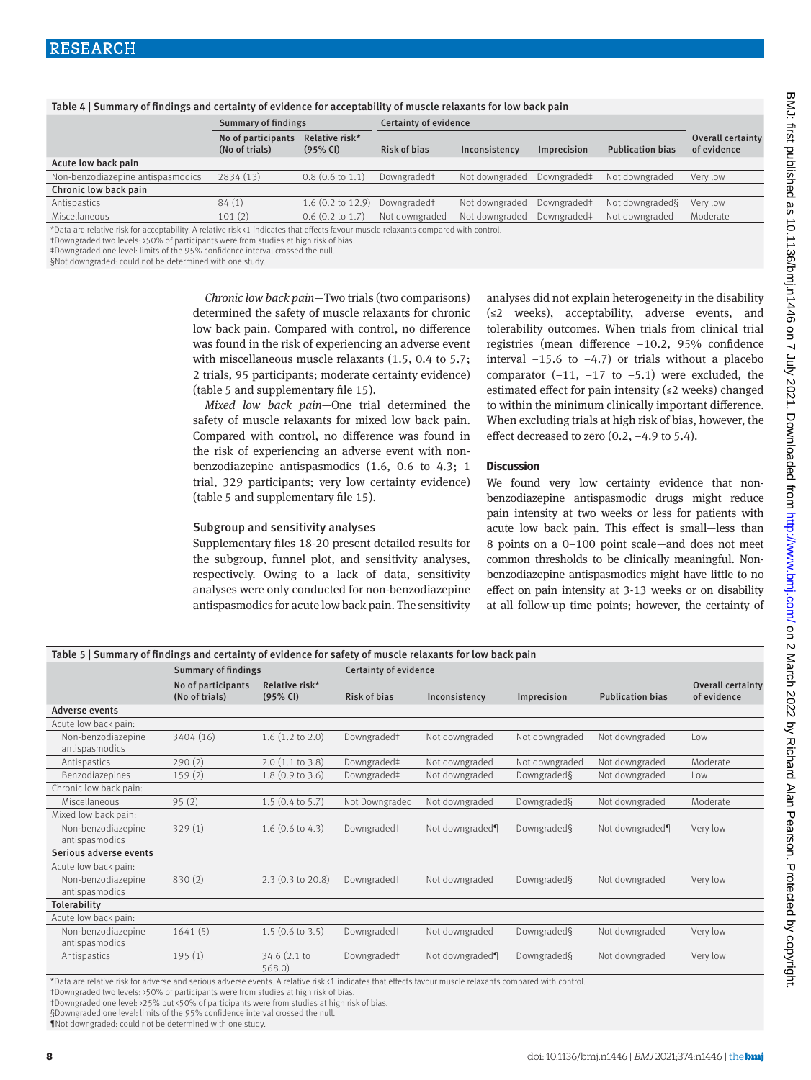| Table 4   Summary of findings and certainty of evidence for acceptability of muscle relaxants for low back pain |                                      |                             |                         |                |                    |                         |                                  |  |  |  |
|-----------------------------------------------------------------------------------------------------------------|--------------------------------------|-----------------------------|-------------------------|----------------|--------------------|-------------------------|----------------------------------|--|--|--|
|                                                                                                                 | <b>Summary of findings</b>           |                             | Certainty of evidence   |                |                    |                         |                                  |  |  |  |
|                                                                                                                 | No of participants<br>(No of trials) | Relative risk*<br>(95% CI)  | Risk of bias            | Inconsistency  | <b>Imprecision</b> | <b>Publication bias</b> | Overall certainty<br>of evidence |  |  |  |
| Acute low back pain                                                                                             |                                      |                             |                         |                |                    |                         |                                  |  |  |  |
| Non-benzodiazepine antispasmodics                                                                               | 2834(13)                             | $0.8(0.6 \text{ to } 1.1)$  | Downgraded <sup>+</sup> | Not downgraded | Downgraded‡        | Not downgraded          | Very low                         |  |  |  |
| Chronic low back pain                                                                                           |                                      |                             |                         |                |                    |                         |                                  |  |  |  |
| Antispastics                                                                                                    | 84(1)                                | $1.6(0.2 \text{ to } 12.9)$ | Downgraded†             | Not downgraded | Downgraded‡        | Not downgraded§         | Very low                         |  |  |  |
| Miscellaneous                                                                                                   | 101(2)                               | $0.6$ (0.2 to 1.7)          | Not downgraded          | Not downgraded | Downgraded‡        | Not downgraded          | Moderate                         |  |  |  |

\*Data are relative risk for acceptability. A relative risk <1 indicates that effects favour muscle relaxants compared with control.

†Downgraded two levels: >50% of participants were from studies at high risk of bias.

‡Downgraded one level: limits of the 95% confidence interval crossed the null.

§Not downgraded: could not be determined with one study.

*Chronic low back pain—*Two trials (two comparisons) determined the safety of muscle relaxants for chronic low back pain. Compared with control, no difference was found in the risk of experiencing an adverse event with miscellaneous muscle relaxants (1.5, 0.4 to 5.7; 2 trials, 95 participants; moderate certainty evidence) (table 5 and supplementary file 15).

*Mixed low back pain—*One trial determined the safety of muscle relaxants for mixed low back pain. Compared with control, no difference was found in the risk of experiencing an adverse event with nonbenzodiazepine antispasmodics (1.6, 0.6 to 4.3; 1 trial, 329 participants; very low certainty evidence) (table 5 and supplementary file 15).

#### Subgroup and sensitivity analyses

Supplementary files 18-20 present detailed results for the subgroup, funnel plot, and sensitivity analyses, respectively. Owing to a lack of data, sensitivity analyses were only conducted for non-benzodiazepine antispasmodics for acute low back pain. The sensitivity analyses did not explain heterogeneity in the disability (≤2 weeks), acceptability, adverse events, and tolerability outcomes. When trials from clinical trial registries (mean difference −10.2, 95% confidence interval −15.6 to −4.7) or trials without a placebo comparator  $(-11, -17)$  to  $-5.1$ ) were excluded, the estimated effect for pain intensity (≤2 weeks) changed to within the minimum clinically important difference. When excluding trials at high risk of bias, however, the effect decreased to zero (0.2, −4.9 to 5.4).

#### **Discussion**

We found very low certainty evidence that nonbenzodiazepine antispasmodic drugs might reduce pain intensity at two weeks or less for patients with acute low back pain. This effect is small—less than 8 points on a 0–100 point scale—and does not meet common thresholds to be clinically meaningful. Nonbenzodiazepine antispasmodics might have little to no effect on pain intensity at 3-13 weeks or on disability at all follow-up time points; however, the certainty of

| Table 5   Summary of findings and certainty of evidence for safety of muscle relaxants for low back pain |                                      |                            |                         |                 |                |                         |                                  |  |  |  |
|----------------------------------------------------------------------------------------------------------|--------------------------------------|----------------------------|-------------------------|-----------------|----------------|-------------------------|----------------------------------|--|--|--|
|                                                                                                          | <b>Summary of findings</b>           |                            | Certainty of evidence   |                 |                |                         |                                  |  |  |  |
|                                                                                                          | No of participants<br>(No of trials) | Relative risk*<br>(95% CI) | <b>Risk of bias</b>     | Inconsistency   | Imprecision    | <b>Publication bias</b> | Overall certainty<br>of evidence |  |  |  |
| Adverse events                                                                                           |                                      |                            |                         |                 |                |                         |                                  |  |  |  |
| Acute low back pain:                                                                                     |                                      |                            |                         |                 |                |                         |                                  |  |  |  |
| Non-benzodiazepine<br>antispasmodics                                                                     | 3404 (16)                            | $1.6$ $(1.2$ to $2.0)$     | Downgraded <sup>+</sup> | Not downgraded  | Not downgraded | Not downgraded          | Low                              |  |  |  |
| Antispastics                                                                                             | 290(2)                               | $2.0$ (1.1 to 3.8)         | Downgraded‡             | Not downgraded  | Not downgraded | Not downgraded          | Moderate                         |  |  |  |
| Benzodiazepines                                                                                          | 159(2)                               | $1.8$ (0.9 to 3.6)         | Downgraded#             | Not downgraded  | Downgraded§    | Not downgraded          | Low                              |  |  |  |
| Chronic low back pain:                                                                                   |                                      |                            |                         |                 |                |                         |                                  |  |  |  |
| Miscellaneous                                                                                            | 95(2)                                | $1.5$ (0.4 to 5.7)         | Not Downgraded          | Not downgraded  | Downgraded§    | Not downgraded          | Moderate                         |  |  |  |
| Mixed low back pain:                                                                                     |                                      |                            |                         |                 |                |                         |                                  |  |  |  |
| Non-benzodiazepine<br>antispasmodics                                                                     | 329(1)                               | $1.6(0.6 \text{ to } 4.3)$ | Downgraded <sup>+</sup> | Not downgraded¶ | Downgraded§    | Not downgraded¶         | Very low                         |  |  |  |
| Serious adverse events                                                                                   |                                      |                            |                         |                 |                |                         |                                  |  |  |  |
| Acute low back pain:                                                                                     |                                      |                            |                         |                 |                |                         |                                  |  |  |  |
| Non-benzodiazepine                                                                                       | 830(2)                               | 2.3(0.3 to 20.8)           | Downgraded <sup>+</sup> | Not downgraded  | Downgraded§    | Not downgraded          | Very low                         |  |  |  |
| antispasmodics                                                                                           |                                      |                            |                         |                 |                |                         |                                  |  |  |  |
| Tolerability                                                                                             |                                      |                            |                         |                 |                |                         |                                  |  |  |  |
| Acute low back pain:                                                                                     |                                      |                            |                         |                 |                |                         |                                  |  |  |  |
| Non-benzodiazepine<br>antispasmodics                                                                     | 1641(5)                              | $1.5$ (0.6 to 3.5)         | Downgraded <sup>+</sup> | Not downgraded  | Downgraded§    | Not downgraded          | Very low                         |  |  |  |
| Antispastics                                                                                             | 195(1)                               | 34.6 (2.1 to<br>568.0      | Downgraded <sup>+</sup> | Not downgraded¶ | Downgraded§    | Not downgraded          | Very low                         |  |  |  |

\*Data are relative risk for adverse and serious adverse events. A relative risk <1 indicates that effects favour muscle relaxants compared with control.

†Downgraded two levels: >50% of participants were from studies at high risk of bias.

‡Downgraded one level: >25% but <50% of participants were from studies at high risk of bias.

§Downgraded one level: limits of the 95% confidence interval crossed the null

¶Not downgraded: could not be determined with one study.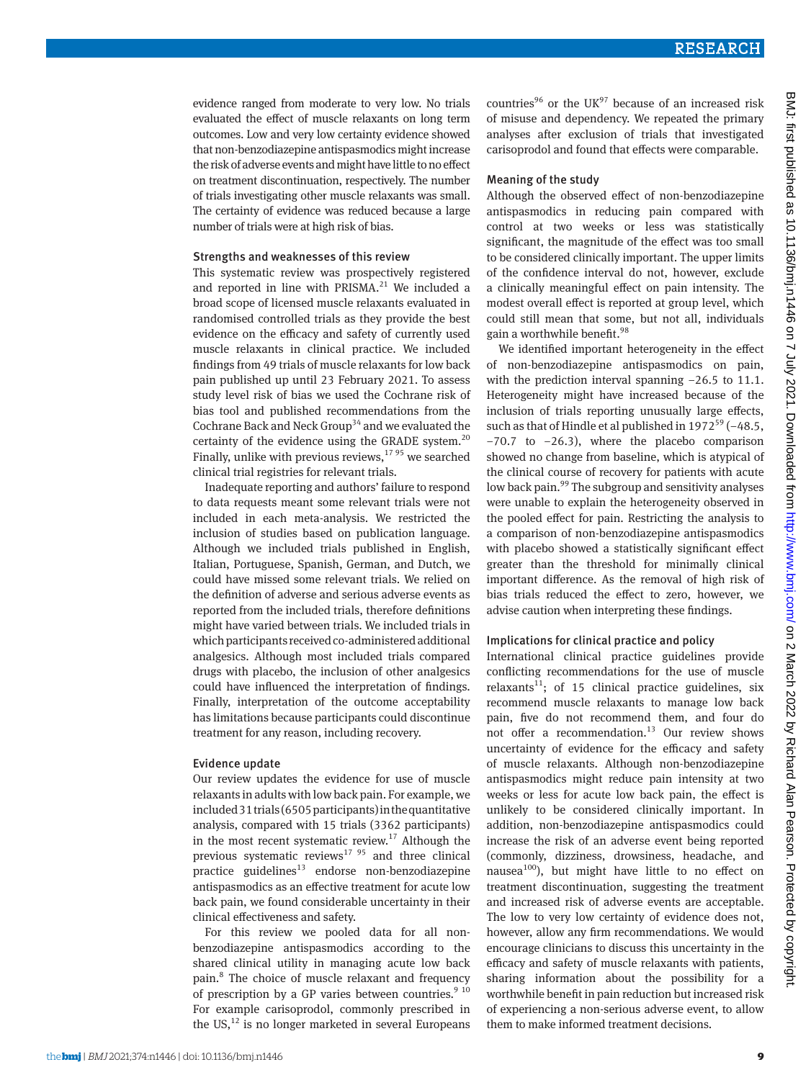evidence ranged from moderate to very low. No trials evaluated the effect of muscle relaxants on long term outcomes. Low and very low certainty evidence showed that non-benzodiazepine antispasmodics might increase the risk of adverse events and might have little to no effect on treatment discontinuation, respectively. The number of trials investigating other muscle relaxants was small. The certainty of evidence was reduced because a large number of trials were at high risk of bias.

#### Strengths and weaknesses of this review

This systematic review was prospectively registered and reported in line with  $PRISMA.<sup>21</sup>$  We included a broad scope of licensed muscle relaxants evaluated in randomised controlled trials as they provide the best evidence on the efficacy and safety of currently used muscle relaxants in clinical practice. We included findings from 49 trials of muscle relaxants for low back pain published up until 23 February 2021. To assess study level risk of bias we used the Cochrane risk of bias tool and published recommendations from the Cochrane Back and Neck Group<sup>34</sup> and we evaluated the certainty of the evidence using the GRADE system.<sup>20</sup> Finally, unlike with previous reviews, $1795$  we searched clinical trial registries for relevant trials.

Inadequate reporting and authors' failure to respond to data requests meant some relevant trials were not included in each meta-analysis. We restricted the inclusion of studies based on publication language. Although we included trials published in English, Italian, Portuguese, Spanish, German, and Dutch, we could have missed some relevant trials. We relied on the definition of adverse and serious adverse events as reported from the included trials, therefore definitions might have varied between trials. We included trials in which participants received co-administered additional analgesics. Although most included trials compared drugs with placebo, the inclusion of other analgesics could have influenced the interpretation of findings. Finally, interpretation of the outcome acceptability has limitations because participants could discontinue treatment for any reason, including recovery.

#### Evidence update

Our review updates the evidence for use of muscle relaxants in adults with low back pain. For example, we included 31 trials (6505 participants) in the quantitative analysis, compared with 15 trials (3362 participants) in the most recent systematic review.<sup>17</sup> Although the previous systematic reviews $1795$  and three clinical practice guidelines<sup>13</sup> endorse non-benzodiazepine antispasmodics as an effective treatment for acute low back pain, we found considerable uncertainty in their clinical effectiveness and safety.

For this review we pooled data for all nonbenzodiazepine antispasmodics according to the shared clinical utility in managing acute low back pain.<sup>8</sup> The choice of muscle relaxant and frequency of prescription by a GP varies between countries. $9^{10}$ For example carisoprodol, commonly prescribed in the US, $^{12}$  is no longer marketed in several Europeans

countries<sup>96</sup> or the UK<sup>97</sup> because of an increased risk of misuse and dependency. We repeated the primary analyses after exclusion of trials that investigated carisoprodol and found that effects were comparable.

#### Meaning of the study

Although the observed effect of non-benzodiazepine antispasmodics in reducing pain compared with control at two weeks or less was statistically significant, the magnitude of the effect was too small to be considered clinically important. The upper limits of the confidence interval do not, however, exclude a clinically meaningful effect on pain intensity. The modest overall effect is reported at group level, which could still mean that some, but not all, individuals gain a worthwhile benefit.<sup>98</sup>

We identified important heterogeneity in the effect of non-benzodiazepine antispasmodics on pain, with the prediction interval spanning −26.5 to 11.1. Heterogeneity might have increased because of the inclusion of trials reporting unusually large effects, such as that of Hindle et al published in  $1972^{59}$  (-48.5, −70.7 to −26.3), where the placebo comparison showed no change from baseline, which is atypical of the clinical course of recovery for patients with acute low back pain.<sup>99</sup> The subgroup and sensitivity analyses were unable to explain the heterogeneity observed in the pooled effect for pain. Restricting the analysis to a comparison of non-benzodiazepine antispasmodics with placebo showed a statistically significant effect greater than the threshold for minimally clinical important difference. As the removal of high risk of bias trials reduced the effect to zero, however, we advise caution when interpreting these findings.

#### Implications for clinical practice and policy

International clinical practice guidelines provide conflicting recommendations for the use of muscle relaxants<sup>11</sup>; of 15 clinical practice guidelines, six recommend muscle relaxants to manage low back pain, five do not recommend them, and four do not offer a recommendation.<sup>13</sup> Our review shows uncertainty of evidence for the efficacy and safety of muscle relaxants. Although non-benzodiazepine antispasmodics might reduce pain intensity at two weeks or less for acute low back pain, the effect is unlikely to be considered clinically important. In addition, non-benzodiazepine antispasmodics could increase the risk of an adverse event being reported (commonly, dizziness, drowsiness, headache, and nausea<sup>100</sup>), but might have little to no effect on treatment discontinuation, suggesting the treatment and increased risk of adverse events are acceptable. The low to very low certainty of evidence does not, however, allow any firm recommendations. We would encourage clinicians to discuss this uncertainty in the efficacy and safety of muscle relaxants with patients, sharing information about the possibility for a worthwhile benefit in pain reduction but increased risk of experiencing a non-serious adverse event, to allow them to make informed treatment decisions.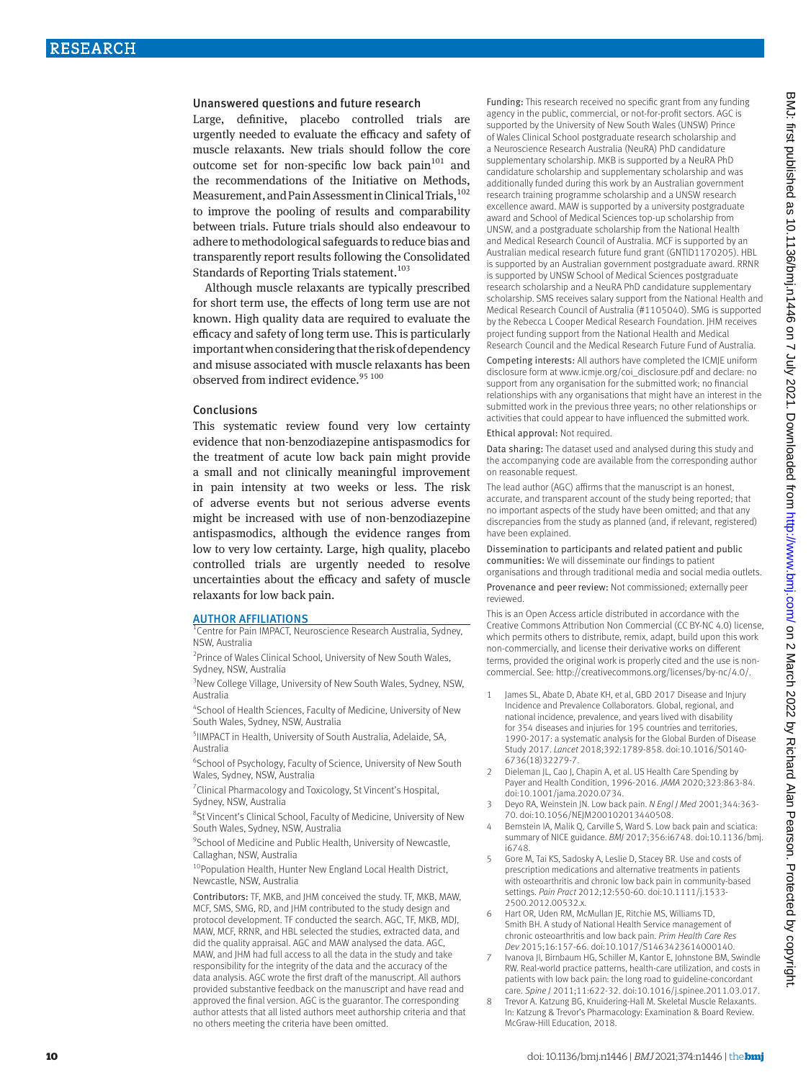#### Unanswered questions and future research

Large, definitive, placebo controlled trials are urgently needed to evaluate the efficacy and safety of muscle relaxants. New trials should follow the core outcome set for non-specific low back pain $101$  and the recommendations of the Initiative on Methods, Measurement, and Pain Assessment in Clinical Trials,<sup>102</sup> to improve the pooling of results and comparability between trials. Future trials should also endeavour to adhere to methodological safeguards to reduce bias and transparently report results following the Consolidated Standards of Reporting Trials statement.<sup>103</sup>

Although muscle relaxants are typically prescribed for short term use, the effects of long term use are not known. High quality data are required to evaluate the efficacy and safety of long term use. This is particularly important when considering that the risk of dependency and misuse associated with muscle relaxants has been observed from indirect evidence.<sup>95 100</sup>

#### Conclusions

This systematic review found very low certainty evidence that non-benzodiazepine antispasmodics for the treatment of acute low back pain might provide a small and not clinically meaningful improvement in pain intensity at two weeks or less. The risk of adverse events but not serious adverse events might be increased with use of non-benzodiazepine antispasmodics, although the evidence ranges from low to very low certainty. Large, high quality, placebo controlled trials are urgently needed to resolve uncertainties about the efficacy and safety of muscle relaxants for low back pain.

#### AUTHOR AFFILIATIONS

1 Centre for Pain IMPACT, Neuroscience Research Australia, Sydney, NSW, Australia

<sup>2</sup> Prince of Wales Clinical School, University of New South Wales, Sydney, NSW, Australia

<sup>3</sup>New College Village, University of New South Wales, Sydney, NSW, Australia

4 School of Health Sciences, Faculty of Medicine, University of New South Wales, Sydney, NSW, Australia

5 IIMPACT in Health, University of South Australia, Adelaide, SA, Australia

6 School of Psychology, Faculty of Science, University of New South Wales, Sydney, NSW, Australia

<sup>7</sup> Clinical Pharmacology and Toxicology, St Vincent's Hospital, Sydney, NSW, Australia

<sup>8</sup>St Vincent's Clinical School, Faculty of Medicine, University of New South Wales, Sydney, NSW, Australia

<sup>9</sup> School of Medicine and Public Health, University of Newcastle, Callaghan, NSW, Australia

<sup>10</sup>Population Health, Hunter New England Local Health District, Newcastle, NSW, Australia

Contributors: TF, MKB, and JHM conceived the study. TF, MKB, MAW, MCF, SMS, SMG, RD, and JHM contributed to the study design and protocol development. TF conducted the search. AGC, TF, MKB, MDJ, MAW, MCF, RRNR, and HBL selected the studies, extracted data, and did the quality appraisal. AGC and MAW analysed the data. AGC, MAW, and JHM had full access to all the data in the study and take responsibility for the integrity of the data and the accuracy of the data analysis. AGC wrote the first draft of the manuscript. All authors provided substantive feedback on the manuscript and have read and approved the final version. AGC is the guarantor. The corresponding author attests that all listed authors meet authorship criteria and that no others meeting the criteria have been omitted.

Funding: This research received no specific grant from any funding agency in the public, commercial, or not-for-profit sectors. AGC is supported by the University of New South Wales (UNSW) Prince of Wales Clinical School postgraduate research scholarship and a Neuroscience Research Australia (NeuRA) PhD candidature supplementary scholarship. MKB is supported by a NeuRA PhD candidature scholarship and supplementary scholarship and was additionally funded during this work by an Australian government research training programme scholarship and a UNSW research excellence award. MAW is supported by a university postgraduate award and School of Medical Sciences top-up scholarship from UNSW, and a postgraduate scholarship from the National Health and Medical Research Council of Australia. MCF is supported by an Australian medical research future fund grant (GNTID1170205). HBL is supported by an Australian government postgraduate award. RRNR is supported by UNSW School of Medical Sciences postgraduate research scholarship and a NeuRA PhD candidature supplementary scholarship. SMS receives salary support from the National Health and Medical Research Council of Australia (#1105040). SMG is supported by the Rebecca L Cooper Medical Research Foundation. JHM receives project funding support from the National Health and Medical Research Council and the Medical Research Future Fund of Australia.

Competing interests: All authors have completed the ICMJE uniform disclosure form at [www.icmje.org/coi\\_disclosure.pdf](http://www.icmje.org/coi_disclosure.pdf) and declare: no support from any organisation for the submitted work; no financial relationships with any organisations that might have an interest in the submitted work in the previous three years; no other relationships or activities that could appear to have influenced the submitted work.

Ethical approval: Not required.

Data sharing: The dataset used and analysed during this study and the accompanying code are available from the corresponding author on reasonable request.

The lead author (AGC) affirms that the manuscript is an honest accurate, and transparent account of the study being reported; that no important aspects of the study have been omitted; and that any discrepancies from the study as planned (and, if relevant, registered) have been explained.

Dissemination to participants and related patient and public communities: We will disseminate our findings to patient organisations and through traditional media and social media outlets.

Provenance and peer review: Not commissioned; externally peer reviewed.

This is an Open Access article distributed in accordance with the Creative Commons Attribution Non Commercial (CC BY-NC 4.0) license, which permits others to distribute, remix, adapt, build upon this work non-commercially, and license their derivative works on different terms, provided the original work is properly cited and the use is noncommercial. See:<http://creativecommons.org/licenses/by-nc/4.0/>.

- 1 James SL, Abate D, Abate KH, et al, GBD 2017 Disease and Injury Incidence and Prevalence Collaborators. Global, regional, and national incidence, prevalence, and years lived with disability for 354 diseases and injuries for 195 countries and territories, 1990-2017: a systematic analysis for the Global Burden of Disease Study 2017. *Lancet* 2018;392:1789-858. doi:10.1016/S0140- 6736(18)32279-7.
- 2 Dieleman JL, Cao J, Chapin A, et al. US Health Care Spending by Payer and Health Condition, 1996-2016. *JAMA* 2020;323:863-84. doi:10.1001/jama.2020.0734.
- 3 Deyo RA, Weinstein JN. Low back pain. *N Engl J Med* 2001;344:363- 70. doi:10.1056/NEJM200102013440508.
- 4 Bernstein IA, Malik Q, Carville S, Ward S. Low back pain and sciatica: summary of NICE guidance. *BMJ* 2017;356:i6748. doi:10.1136/bmj. i6748.
- 5 Gore M, Tai KS, Sadosky A, Leslie D, Stacey BR. Use and costs of prescription medications and alternative treatments in patients with osteoarthritis and chronic low back pain in community-based settings. *Pain Pract* 2012;12:550-60. doi:10.1111/j.1533- 2500.2012.00532.x.
- Hart OR, Uden RM, McMullan JE, Ritchie MS, Williams TD, Smith BH. A study of National Health Service management of chronic osteoarthritis and low back pain. *Prim Health Care Res Dev* 2015;16:157-66. doi:10.1017/S1463423614000140.
- Ivanova JI, Birnbaum HG, Schiller M, Kantor E, Johnstone BM, Swindle RW. Real-world practice patterns, health-care utilization, and costs in patients with low back pain: the long road to guideline-concordant care. *Spine J* 2011;11:622-32. doi:10.1016/j.spinee.2011.03.017.
- 8 Trevor A. Katzung BG, Knuidering-Hall M. Skeletal Muscle Relaxants. In: Katzung & Trevor's Pharmacology: Examination & Board Review. McGraw-Hill Education, 2018.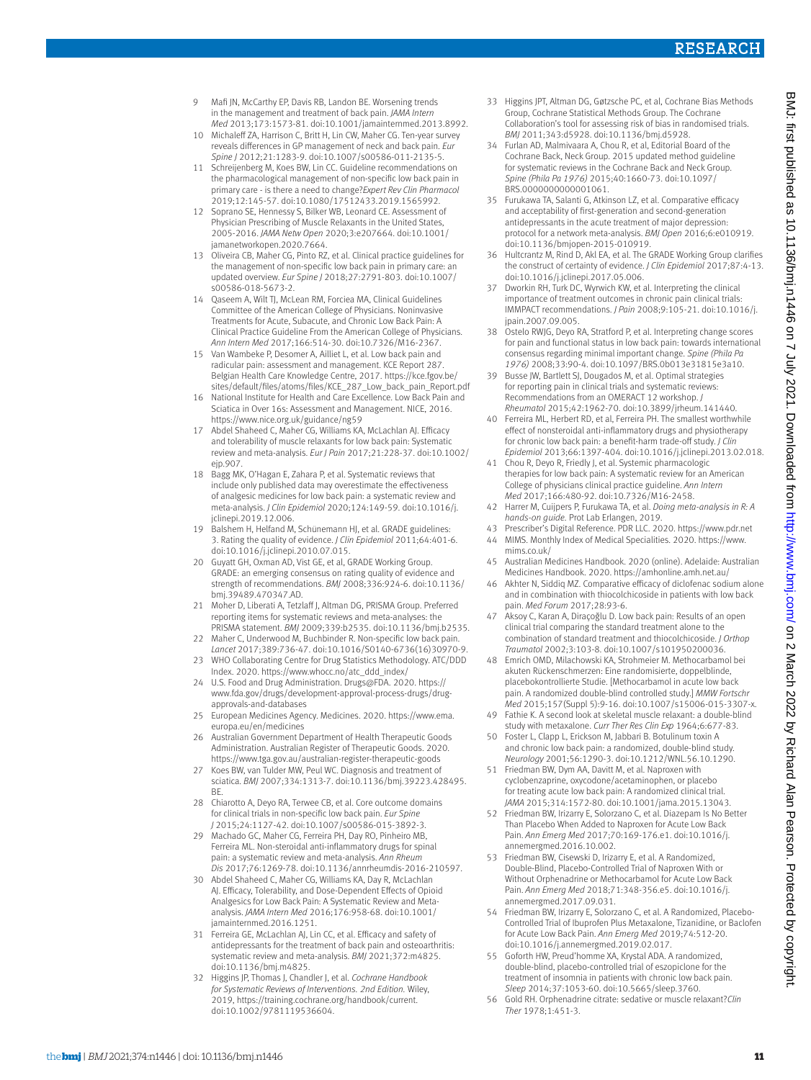- 9 Mafi IN, McCarthy EP, Davis RB, Landon BE. Worsening trends in the management and treatment of back pain. *JAMA Intern Med* 2013;173:1573-81. doi:10.1001/jamainternmed.2013.8992.
- 10 Michaleff ZA, Harrison C, Britt H, Lin CW, Maher CG. Ten-year survey reveals differences in GP management of neck and back pain. *Eur Spine J* 2012;21:1283-9. doi:10.1007/s00586-011-2135-5.
- 11 Schreijenberg M, Koes BW, Lin CC. Guideline recommendations on the pharmacological management of non-specific low back pain in primary care - is there a need to change?*Expert Rev Clin Pharmacol*  2019;12:145-57. doi:10.1080/17512433.2019.1565992.
- Soprano SE, Hennessy S, Bilker WB, Leonard CE. Assessment of Physician Prescribing of Muscle Relaxants in the United States, 2005-2016. *JAMA Netw Open* 2020;3:e207664. doi:10.1001/ jamanetworkopen.2020.7664.
- 13 Oliveira CB, Maher CG, Pinto RZ, et al. Clinical practice guidelines for the management of non-specific low back pain in primary care: an updated overview. *Eur Spine J* 2018;27:2791-803. doi:10.1007/ s00586-018-5673-2.
- 14 Qaseem A, Wilt TJ, McLean RM, Forciea MA, Clinical Guidelines Committee of the American College of Physicians. Noninvasive Treatments for Acute, Subacute, and Chronic Low Back Pain: A Clinical Practice Guideline From the American College of Physicians. *Ann Intern Med* 2017;166:514-30. doi:10.7326/M16-2367.
- 15 Van Wambeke P, Desomer A, Ailliet L, et al. Low back pain and radicular pain: assessment and management. KCE Report 287. Belgian Health Care Knowledge Centre, 2017. [https://kce.fgov.be/](https://kce.fgov.be/sites/default/files/atoms/files/KCE_287_Low_back_pain_Report.pdf) [sites/default/files/atoms/files/KCE\\_287\\_Low\\_back\\_pain\\_Report.pdf](https://kce.fgov.be/sites/default/files/atoms/files/KCE_287_Low_back_pain_Report.pdf)
- 16 National Institute for Health and Care Excellence. Low Back Pain and Sciatica in Over 16s: Assessment and Management. NICE, 2016. https://[www.nice.org.uk/guidance/ng59](http://www.nice.org.uk/guidance/ng59)
- 17 Abdel Shaheed C, Maher CG, Williams KA, McLachlan AJ. Efficacy and tolerability of muscle relaxants for low back pain: Systematic review and meta-analysis. *Eur J Pain* 2017;21:228-37. doi:10.1002/ ejp.907.
- 18 Bagg MK, O'Hagan E, Zahara P, et al. Systematic reviews that include only published data may overestimate the effectiveness of analgesic medicines for low back pain: a systematic review and meta-analysis. *J Clin Epidemiol* 2020;124:149-59. doi:10.1016/j. jclinepi.2019.12.006.
- 19 Balshem H, Helfand M, Schünemann HJ, et al. GRADE guidelines: 3. Rating the quality of evidence. *J Clin Epidemiol* 2011;64:401-6. doi:10.1016/j.jclinepi.2010.07.015.
- 20 Guyatt GH, Oxman AD, Vist GE, et al, GRADE Working Group. GRADE: an emerging consensus on rating quality of evidence and strength of recommendations. *BMJ* 2008;336:924-6. doi:10.1136/ bmj.39489.470347.AD.
- 21 Moher D, Liberati A, Tetzlaff J, Altman DG, PRISMA Group. Preferred reporting items for systematic reviews and meta-analyses: the PRISMA statement. *BMJ* 2009;339:b2535. doi:10.1136/bmj.b2535.
- 22 Maher C, Underwood M, Buchbinder R. Non-specific low back pain. *Lancet* 2017;389:736-47. doi:10.1016/S0140-6736(16)30970-9.
- 23 WHO Collaborating Centre for Drug Statistics Methodology. ATC/DDD Index. 2020. https:/[/www.whocc.no/atc\\_ddd\\_index/](http://www.whocc.no/atc_ddd_index/)
- 24 U.S. Food and Drug Administration. Drugs@FDA. 2020. https:// [www.fda.gov/drugs/development-approval-process-drugs/drug](http://www.fda.gov/drugs/development-approval-process-drugs/drug-approvals-and-databases)[approvals-and-databases](http://www.fda.gov/drugs/development-approval-process-drugs/drug-approvals-and-databases)
- 25 European Medicines Agency. Medicines. 2020. https://[www.ema.](http://www.ema.europa.eu/en/medicines) [europa.eu/en/medicines](http://www.ema.europa.eu/en/medicines)
- 26 Australian Government Department of Health Therapeutic Goods Administration. Australian Register of Therapeutic Goods. 2020. https://[www.tga.gov.au/australian-register-therapeutic-goods](http://www.tga.gov.au/australian-register-therapeutic-goods)
- 27 Koes BW, van Tulder MW, Peul WC. Diagnosis and treatment of sciatica. *BMJ* 2007;334:1313-7. doi:10.1136/bmj.39223.428495. BE.
- 28 Chiarotto A, Deyo RA, Terwee CB, et al. Core outcome domains for clinical trials in non-specific low back pain. *Eur Spine J* 2015;24:1127-42. doi:10.1007/s00586-015-3892-3.
- 29 Machado GC, Maher CG, Ferreira PH, Day RO, Pinheiro MB, Ferreira ML. Non-steroidal anti-inflammatory drugs for spinal pain: a systematic review and meta-analysis. *Ann Rheum Dis* 2017;76:1269-78. doi:10.1136/annrheumdis-2016-210597.
- 30 Abdel Shaheed C, Maher CG, Williams KA, Day R, McLachlan AJ. Efficacy, Tolerability, and Dose-Dependent Effects of Opioid Analgesics for Low Back Pain: A Systematic Review and Metaanalysis. *JAMA Intern Med* 2016;176:958-68. doi:10.1001/ jamainternmed.2016.1251.
- 31 Ferreira GE, McLachlan AJ, Lin CC, et al. Efficacy and safety of antidepressants for the treatment of back pain and osteoarthritis: systematic review and meta-analysis. *BMJ* 2021;372:m4825. doi:10.1136/bmj.m4825.
- 32 Higgins JP, Thomas J, Chandler J, et al. *Cochrane Handbook for Systematic Reviews of Interventions. 2nd Edition.* Wiley, 2019, [https://training.cochrane.org/handbook/current.](https://training.cochrane.org/handbook/current) doi:10.1002/9781119536604.
- 33 Higgins JPT, Altman DG, Gøtzsche PC, et al, Cochrane Bias Methods Group, Cochrane Statistical Methods Group. The Cochrane Collaboration's tool for assessing risk of bias in randomised trials. *BMJ* 2011;343:d5928. doi:10.1136/bmj.d5928.
- 34 Furlan AD, Malmivaara A, Chou R, et al, Editorial Board of the Cochrane Back, Neck Group. 2015 updated method guideline for systematic reviews in the Cochrane Back and Neck Group. *Spine (Phila Pa 1976)* 2015;40:1660-73. doi:10.1097/ BRS.0000000000001061.
- 35 Furukawa TA, Salanti G, Atkinson LZ, et al. Comparative efficacy and acceptability of first-generation and second-generation antidepressants in the acute treatment of major depression: protocol for a network meta-analysis. *BMJ Open* 2016;6:e010919. doi:10.1136/bmjopen-2015-010919.
- 36 Hultcrantz M, Rind D, Akl EA, et al. The GRADE Working Group clarifies the construct of certainty of evidence. *J Clin Epidemiol* 2017;87:4-13. doi:10.1016/j.jclinepi.2017.05.006.
- 37 Dworkin RH, Turk DC, Wyrwich KW, et al. Interpreting the clinical importance of treatment outcomes in chronic pain clinical trials: IMMPACT recommendations. *J Pain* 2008;9:105-21. doi:10.1016/j. jpain.2007.09.005.
- 38 Ostelo RWJG, Deyo RA, Stratford P, et al. Interpreting change scores for pain and functional status in low back pain: towards international consensus regarding minimal important change. *Spine (Phila Pa 1976)* 2008;33:90-4. doi:10.1097/BRS.0b013e31815e3a10.
- 39 Busse JW, Bartlett SJ, Dougados M, et al. Optimal strategies for reporting pain in clinical trials and systematic reviews: Recommendations from an OMERACT 12 workshop. *J Rheumatol* 2015;42:1962-70. doi:10.3899/jrheum.141440.
- 40 Ferreira ML, Herbert RD, et al, Ferreira PH. The smallest worthwhile effect of nonsteroidal anti-inflammatory drugs and physiotherapy for chronic low back pain: a benefit-harm trade-off study. *J Clin Epidemiol* 2013;66:1397-404. doi:10.1016/j.jclinepi.2013.02.018.
- 41 Chou R, Deyo R, Friedly J, et al. Systemic pharmacologic therapies for low back pain: A systematic review for an American College of physicians clinical practice guideline. *Ann Intern Med* 2017;166:480-92. doi:10.7326/M16-2458.
- 42 Harrer M, Cuijpers P, Furukawa TA, et al. *Doing meta-analysis in R: A hands-on guide.* Prot Lab Erlangen, 2019.
- 43 Prescriber's Digital Reference. PDR LLC. 2020. https:/[/www.pdr.net](http://www.pdr.net) 44 MIMS. Monthly Index of Medical Specialities. 2020. https:/[/www.](http://www.mims.co.uk/) [mims.co.uk/](http://www.mims.co.uk/)
- 45 Australian Medicines Handbook. 2020 (online). Adelaide: Australian Medicines Handbook. 2020. https:/[/amhonline.amh.net.au/](http://amhonline.amh.net.au/)
- 46 Akhter N, Siddiq MZ. Comparative efficacy of diclofenac sodium alone and in combination with thiocolchicoside in patients with low back pain. *Med Forum* 2017;28:93-6.
- 47 Aksoy C, Karan A, Diraçoğlu D. Low back pain: Results of an open clinical trial comparing the standard treatment alone to the combination of standard treatment and thiocolchicoside. *J Orthop Traumatol* 2002;3:103-8. doi:10.1007/s101950200036.
- 48 Emrich OMD, Milachowski KA, Strohmeier M. Methocarbamol bei akuten Rückenschmerzen: Eine randomisierte, doppelblinde, placebokontrollierte Studie. [Methocarbamol in acute low back pain. A randomized double-blind controlled study.] *MMW Fortschr Med* 2015;157(Suppl 5):9-16. doi:10.1007/s15006-015-3307-x.
- 49 Fathie K. A second look at skeletal muscle relaxant: a double-blind study with metaxalone. *Curr Ther Res Clin Exp* 1964;6:677-83.
- 50 Foster L, Clapp L, Erickson M, Jabbari B. Botulinum toxin A and chronic low back pain: a randomized, double-blind study. *Neurology* 2001;56:1290-3. doi:10.1212/WNL.56.10.1290.
- 51 Friedman BW, Dym AA, Davitt M, et al. Naproxen with cyclobenzaprine, oxycodone/acetaminophen, or placebo for treating acute low back pain: A randomized clinical trial. *JAMA* 2015;314:1572-80. doi:10.1001/jama.2015.13043.
- 52 Friedman BW, Irizarry E, Solorzano C, et al. Diazepam Is No Better Than Placebo When Added to Naproxen for Acute Low Back Pain. *Ann Emerg Med* 2017;70:169-176.e1. doi:10.1016/j. annemergmed.2016.10.002.
- 53 Friedman BW, Cisewski D, Irizarry E, et al. A Randomized, Double-Blind, Placebo-Controlled Trial of Naproxen With or Without Orphenadrine or Methocarbamol for Acute Low Back Pain. *Ann Emerg Med* 2018;71:348-356.e5. doi:10.1016/j. annemergmed.2017.09.031.
- 54 Friedman BW, Irizarry E, Solorzano C, et al. A Randomized, Placebo-Controlled Trial of Ibuprofen Plus Metaxalone, Tizanidine, or Baclofen for Acute Low Back Pain. *Ann Emerg Med* 2019;74:512-20. doi:10.1016/j.annemergmed.2019.02.017.
- 55 Goforth HW, Preud'homme XA, Krystal ADA. A randomized, double-blind, placebo-controlled trial of eszopiclone for the treatment of insomnia in patients with chronic low back pain. *Sleep* 2014;37:1053-60. doi:10.5665/sleep.3760.
- 56 Gold RH. Orphenadrine citrate: sedative or muscle relaxant?*Clin Ther* 1978;1:451-3.